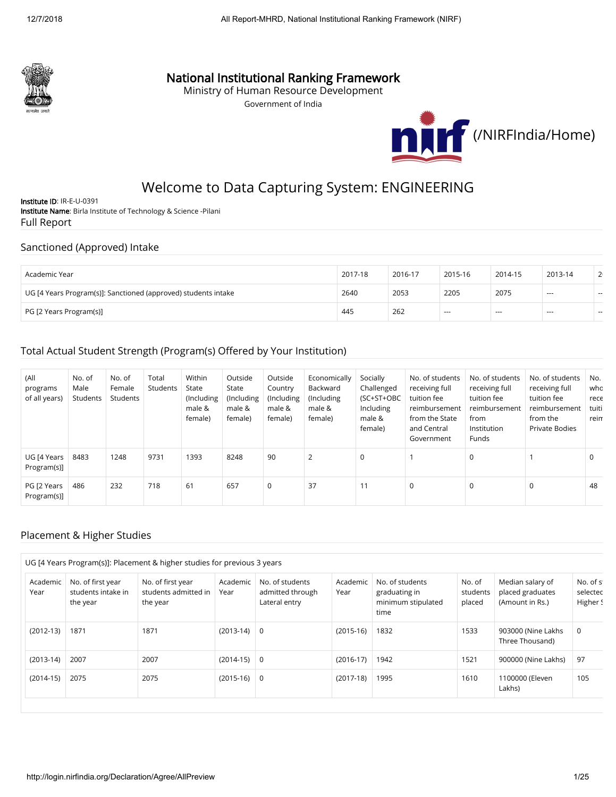

# National Institutional Ranking Framework

Ministry of Human Resource Development

Government of India



# Welcome to Data Capturing System: ENGINEERING

Institute ID: IR-E-U-0391 Institute Name: Birla Institute of Technology & Science -Pilani Full Report

#### Sanctioned (Approved) Intake

| Academic Year                                                  | 2017-18 | 2016-17 | 2015-16 | 2014-15 | 2013-14        | 2 <sub>1</sub> |
|----------------------------------------------------------------|---------|---------|---------|---------|----------------|----------------|
| UG [4 Years Program(s)]: Sanctioned (approved) students intake | 2640    | 2053    | 2205    | 2075    | $-$            | $-$            |
| PG [2 Years Program(s)]                                        | 445     | 262     | $- - -$ | ---     | $\overline{a}$ | $\sim$         |

### Total Actual Student Strength (Program(s) Offered by Your Institution)

| (All<br>programs<br>of all years) | No. of<br>Male<br>Students | No. of<br>Female<br>Students | Total<br>Students | Within<br>State<br>(Including)<br>male &<br>female) | Outside<br>State<br>(Including<br>male &<br>female) | Outside<br>Country<br>(Including<br>male &<br>female) | Economically<br>Backward<br>(Including<br>male &<br>female) | Socially<br>Challenged<br>(SC+ST+OBC<br>Including<br>male &<br>female) | No. of students<br>receiving full<br>tuition fee<br>reimbursement<br>from the State<br>and Central<br>Government | No. of students<br>receiving full<br>tuition fee<br>reimbursement<br>from<br>Institution<br>Funds | No. of students<br>receiving full<br>tuition fee<br>reimbursement<br>from the<br>Private Bodies | No.<br>who<br>rece<br>tuiti<br>reim |
|-----------------------------------|----------------------------|------------------------------|-------------------|-----------------------------------------------------|-----------------------------------------------------|-------------------------------------------------------|-------------------------------------------------------------|------------------------------------------------------------------------|------------------------------------------------------------------------------------------------------------------|---------------------------------------------------------------------------------------------------|-------------------------------------------------------------------------------------------------|-------------------------------------|
| UG [4 Years<br>Program(s)]        | 8483                       | 1248                         | 9731              | 1393                                                | 8248                                                | 90                                                    | $\overline{2}$                                              | $\mathbf 0$                                                            |                                                                                                                  | 0                                                                                                 |                                                                                                 | 0                                   |
| PG [2 Years<br>Program(s)]        | 486                        | 232                          | 718               | 61                                                  | 657                                                 | 0                                                     | 37                                                          | 11                                                                     | $\mathbf 0$                                                                                                      | 0                                                                                                 | 0                                                                                               | 48                                  |

### Placement & Higher Studies

|                  |                                                     | UG [4 Years Program(s)]: Placement & higher studies for previous 3 years |                  |                                                      |                  |                                                                |                              |                                                         |                                   |
|------------------|-----------------------------------------------------|--------------------------------------------------------------------------|------------------|------------------------------------------------------|------------------|----------------------------------------------------------------|------------------------------|---------------------------------------------------------|-----------------------------------|
| Academic<br>Year | No. of first year<br>students intake in<br>the year | No. of first year<br>students admitted in<br>the year                    | Academic<br>Year | No. of students<br>admitted through<br>Lateral entry | Academic<br>Year | No. of students<br>graduating in<br>minimum stipulated<br>time | No. of<br>students<br>placed | Median salary of<br>placed graduates<br>(Amount in Rs.) | No. of st<br>selected<br>Higher S |
| $(2012-13)$      | 1871                                                | 1871                                                                     | $(2013-14)$ 0    |                                                      | $(2015-16)$      | 1832                                                           | 1533                         | 903000 (Nine Lakhs<br>Three Thousand)                   | 0                                 |
| $(2013-14)$      | 2007                                                | 2007                                                                     | $(2014-15)$ 0    |                                                      | $(2016-17)$      | 1942                                                           | 1521                         | 900000 (Nine Lakhs)                                     | 97                                |
| $(2014-15)$      | 2075                                                | 2075                                                                     | $(2015-16)$ 0    |                                                      | $(2017-18)$      | 1995                                                           | 1610                         | 1100000 (Eleven<br>Lakhs)                               | 105                               |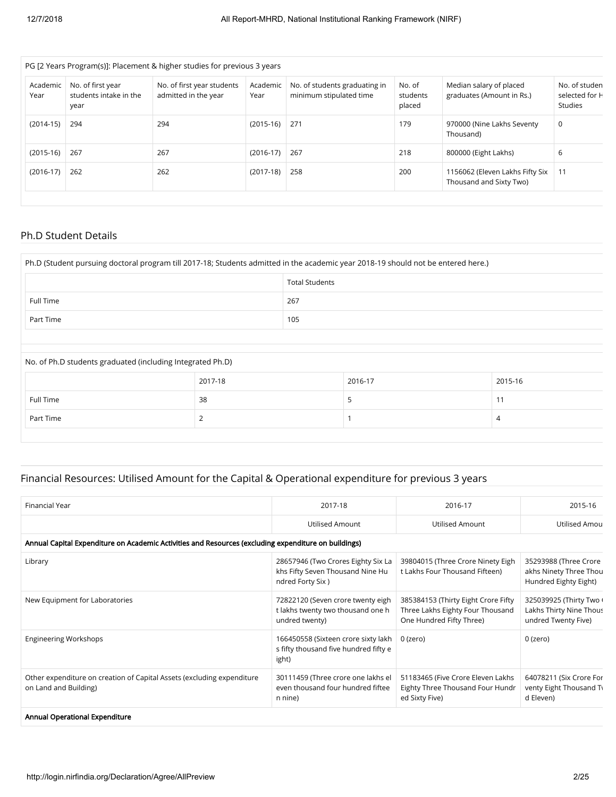|                  |                                                     | PG [2 Years Program(s)]: Placement & higher studies for previous 3 years |                  |                                                          |                              |                                                            |                                                   |
|------------------|-----------------------------------------------------|--------------------------------------------------------------------------|------------------|----------------------------------------------------------|------------------------------|------------------------------------------------------------|---------------------------------------------------|
| Academic<br>Year | No. of first year<br>students intake in the<br>year | No. of first year students<br>admitted in the year                       | Academic<br>Year | No. of students graduating in<br>minimum stipulated time | No. of<br>students<br>placed | Median salary of placed<br>graduates (Amount in Rs.)       | No. of studen<br>selected for H<br><b>Studies</b> |
| $(2014-15)$      | 294                                                 | 294                                                                      | $(2015-16)$      | 1271                                                     | 179                          | 970000 (Nine Lakhs Seventy<br>Thousand)                    | 0                                                 |
| $(2015-16)$      | 267                                                 | 267                                                                      | $(2016-17)$      | 267                                                      | 218                          | 800000 (Eight Lakhs)                                       | 6                                                 |
| $(2016-17)$      | 262                                                 | 262                                                                      | $(2017-18)$      | 258                                                      | 200                          | 1156062 (Eleven Lakhs Fifty Six<br>Thousand and Sixty Two) | 11                                                |
|                  |                                                     |                                                                          |                  |                                                          |                              |                                                            |                                                   |

### Ph.D Student Details

| Ph.D (Student pursuing doctoral program till 2017-18; Students admitted in the academic year 2018-19 should not be entered here.) |         |                       |         |         |  |  |  |
|-----------------------------------------------------------------------------------------------------------------------------------|---------|-----------------------|---------|---------|--|--|--|
|                                                                                                                                   |         | <b>Total Students</b> |         |         |  |  |  |
| Full Time                                                                                                                         |         | 267                   |         |         |  |  |  |
| Part Time                                                                                                                         | 105     |                       |         |         |  |  |  |
|                                                                                                                                   |         |                       |         |         |  |  |  |
| No. of Ph.D students graduated (including Integrated Ph.D)                                                                        |         |                       |         |         |  |  |  |
|                                                                                                                                   | 2017-18 |                       | 2016-17 | 2015-16 |  |  |  |
| <b>Full Time</b>                                                                                                                  | 38      |                       | 5       | 11      |  |  |  |

# Financial Resources: Utilised Amount for the Capital & Operational expenditure for previous 3 years

Part Time  $\begin{array}{|c|c|c|c|c|c|}\hline \end{array}$ 

| 2017-18                                                                                    | 2016-17                                                                                              | 2015-16                                                                   |
|--------------------------------------------------------------------------------------------|------------------------------------------------------------------------------------------------------|---------------------------------------------------------------------------|
| <b>Utilised Amount</b>                                                                     | <b>Utilised Amount</b>                                                                               | Utilised Amou                                                             |
|                                                                                            |                                                                                                      |                                                                           |
| 28657946 (Two Crores Eighty Six La<br>khs Fifty Seven Thousand Nine Hu<br>ndred Forty Six) | 39804015 (Three Crore Ninety Eigh<br>t Lakhs Four Thousand Fifteen)                                  | 35293988 (Three Crore<br>akhs Ninety Three Thou<br>Hundred Eighty Eight)  |
| 72822120 (Seven crore twenty eigh<br>t lakhs twenty two thousand one h<br>undred twenty)   | 385384153 (Thirty Eight Crore Fifty<br>Three Lakhs Eighty Four Thousand<br>One Hundred Fifty Three)  | 325039925 (Thirty Two \<br>Lakhs Thirty Nine Thous<br>undred Twenty Five) |
| 166450558 (Sixteen crore sixty lakh<br>s fifty thousand five hundred fifty e<br>ight)      | 0 (zero)                                                                                             | 0 (zero)                                                                  |
| 30111459 (Three crore one lakhs el<br>even thousand four hundred fiftee<br>n nine)         | 51183465 (Five Crore Eleven Lakhs<br>Eighty Three Thousand Four Hundr<br>ed Sixty Five)              | 64078211 (Six Crore For<br>venty Eight Thousand Ty<br>d Eleven)           |
|                                                                                            | Annual Capital Expenditure on Academic Activities and Resources (excluding expenditure on buildings) |                                                                           |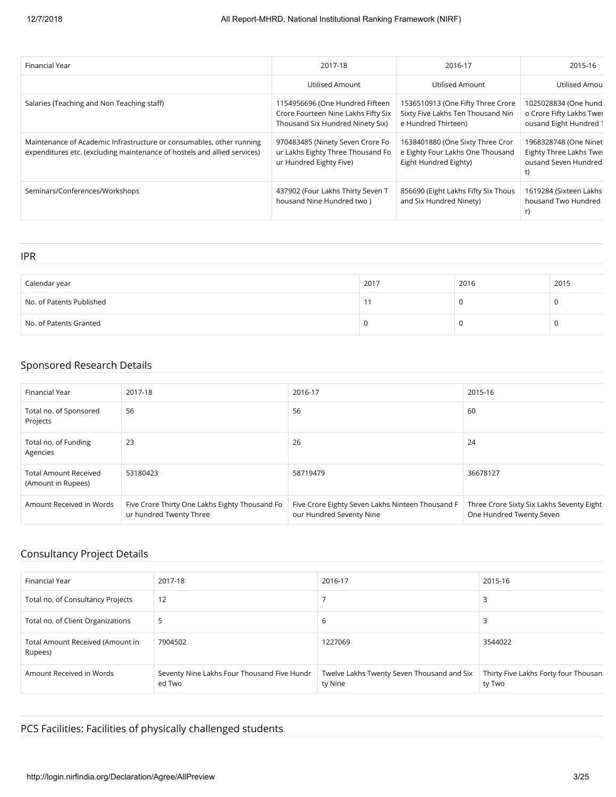| Financial Year                                                                                                                                   | 2017-18                                                                                                    | 2016-17                                                                                       | 2015-16                                                                    |
|--------------------------------------------------------------------------------------------------------------------------------------------------|------------------------------------------------------------------------------------------------------------|-----------------------------------------------------------------------------------------------|----------------------------------------------------------------------------|
|                                                                                                                                                  | Utilised Amount                                                                                            | Utilised Amount                                                                               | Utilised Amou                                                              |
| Salaries (Teaching and Non Teaching staff)                                                                                                       | 1154956696 (One Hundred Fifteen<br>Crore Fourteen Nine Lakhs Fifty Six<br>Thousand Six Hundred Ninety Six) | 1536510913 (One Fifty Three Crore<br>Sixty Five Lakhs Ten Thousand Nin<br>e Hundred Thirteen) | 1025028834 (One hund<br>o Crore Fifty Lakhs Twer<br>ousand Eight Hundred 1 |
| Maintenance of Academic Infrastructure or consumables, other running<br>expenditures etc. (excluding maintenance of hostels and allied services) | 970483485 (Ninety Seven Crore Fo<br>ur Lakhs Eighty Three Thousand Fo<br>ur Hundred Eighty Five)           | 1638401880 (One Sixty Three Cror<br>e Eighty Four Lakhs One Thousand<br>Eight Hundred Eighty) | 1968328748 (One Ninet<br>Eighty Three Lakhs Twei<br>ousand Seven Hundred   |
| Seminars/Conferences/Workshops                                                                                                                   | 437902 (Four Lakhs Thirty Seven T<br>housand Nine Hundred two)                                             | 856690 (Eight Lakhs Fifty Six Thous<br>and Six Hundred Ninety)                                | 1619284 (Sixteen Lakhs<br>housand Two Hundred<br>r)                        |

IPR

| Calendar year            | 2017 | 2016 | 2015 |
|--------------------------|------|------|------|
| No. of Patents Published |      | U    |      |
| No. of Patents Granted   |      | υ    |      |

# Sponsored Research Details

| Financial Year                                     | 2017-18                                                                   | 2016-17                                                                      | 2015-16                                                               |
|----------------------------------------------------|---------------------------------------------------------------------------|------------------------------------------------------------------------------|-----------------------------------------------------------------------|
| Total no. of Sponsored<br>Projects                 | 56                                                                        | 56                                                                           | 60                                                                    |
| Total no. of Funding<br>Agencies                   | 23                                                                        | 26                                                                           | 24                                                                    |
| <b>Total Amount Received</b><br>(Amount in Rupees) | 53180423                                                                  | 58719479                                                                     | 36678127                                                              |
| Amount Received in Words                           | Five Crore Thirty One Lakhs Eighty Thousand Fo<br>ur hundred Twenty Three | Five Crore Eighty Seven Lakhs Ninteen Thousand F<br>our Hundred Seventy Nine | Three Crore Sixty Six Lakhs Seventy Eight<br>One Hundred Twenty Seven |

# Consultancy Project Details

| Financial Year                              | 2017-18                                               | 2016-17                                               | 2015-16                                        |
|---------------------------------------------|-------------------------------------------------------|-------------------------------------------------------|------------------------------------------------|
| Total no. of Consultancy Projects           | 12                                                    |                                                       |                                                |
| Total no. of Client Organizations           | 5                                                     | b                                                     |                                                |
| Total Amount Received (Amount in<br>Rupees) | 7904502                                               | 1227069                                               | 3544022                                        |
| Amount Received in Words                    | Seventy Nine Lakhs Four Thousand Five Hundr<br>ed Two | Twelve Lakhs Twenty Seven Thousand and Six<br>ty Nine | Thirty Five Lakhs Forty four Thousan<br>ty Two |

# PCS Facilities: Facilities of physically challenged students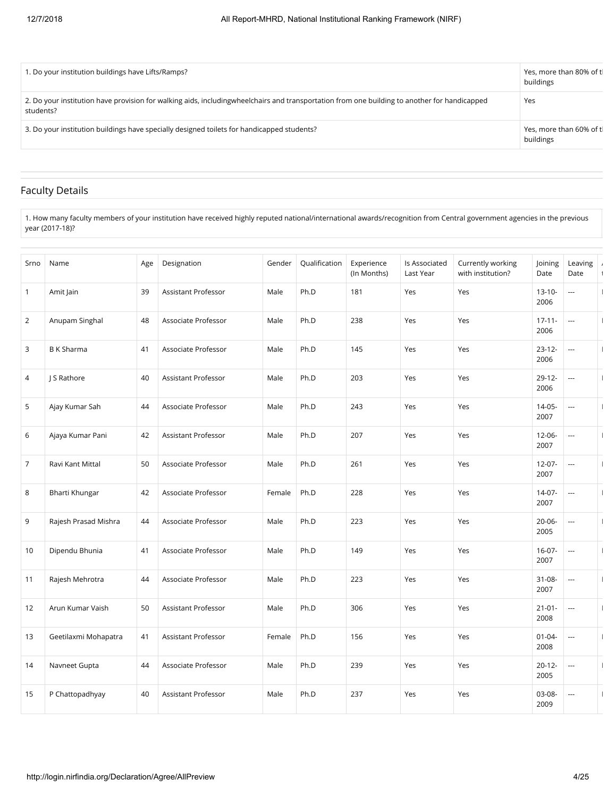| 1. Do your institution buildings have Lifts/Ramps?                                                                                                         | Yes, more than 80% of tl<br>buildings |
|------------------------------------------------------------------------------------------------------------------------------------------------------------|---------------------------------------|
| 2. Do your institution have provision for walking aids, including wheelchairs and transportation from one building to another for handicapped<br>students? | Yes                                   |
| 3. Do your institution buildings have specially designed toilets for handicapped students?                                                                 | Yes, more than 60% of tl<br>buildings |

# Faculty Details

1. How many faculty members of your institution have received highly reputed national/international awards/recognition from Central government agencies in the previous year (2017-18)?

| Srno           | Name                 | Age | Designation                | Gender | Qualification | Experience<br>(In Months) | Is Associated<br>Last Year | Currently working<br>with institution? | Joining<br>Date     | Leaving<br>Date | $\overline{ }$<br>$\mathbf{1}$ |
|----------------|----------------------|-----|----------------------------|--------|---------------|---------------------------|----------------------------|----------------------------------------|---------------------|-----------------|--------------------------------|
| $\mathbf{1}$   | Amit Jain            | 39  | <b>Assistant Professor</b> | Male   | Ph.D          | 181                       | Yes                        | Yes                                    | $13 - 10 -$<br>2006 |                 |                                |
| 2              | Anupam Singhal       | 48  | Associate Professor        | Male   | Ph.D          | 238                       | Yes                        | Yes                                    | $17 - 11 -$<br>2006 | ---             |                                |
| 3              | <b>B</b> K Sharma    | 41  | Associate Professor        | Male   | Ph.D          | 145                       | Yes                        | Yes                                    | $23 - 12 -$<br>2006 |                 | $\overline{1}$                 |
| 4              | J S Rathore          | 40  | <b>Assistant Professor</b> | Male   | Ph.D          | 203                       | Yes                        | Yes                                    | $29 - 12 -$<br>2006 |                 | $\overline{1}$                 |
| 5              | Ajay Kumar Sah       | 44  | Associate Professor        | Male   | Ph.D          | 243                       | Yes                        | Yes                                    | $14 - 05 -$<br>2007 | ---             |                                |
| 6              | Ajaya Kumar Pani     | 42  | <b>Assistant Professor</b> | Male   | Ph.D          | 207                       | Yes                        | Yes                                    | $12 - 06 -$<br>2007 | ---             | $\mathbf{I}$                   |
| $\overline{7}$ | Ravi Kant Mittal     | 50  | Associate Professor        | Male   | Ph.D          | 261                       | Yes                        | Yes                                    | $12 - 07 -$<br>2007 |                 | $\mathbf{I}$                   |
| 8              | Bharti Khungar       | 42  | Associate Professor        | Female | Ph.D          | 228                       | Yes                        | Yes                                    | $14-07-$<br>2007    | ---             |                                |
| 9              | Rajesh Prasad Mishra | 44  | Associate Professor        | Male   | Ph.D          | 223                       | Yes                        | Yes                                    | 20-06-<br>2005      | ---             |                                |
| 10             | Dipendu Bhunia       | 41  | Associate Professor        | Male   | Ph.D          | 149                       | Yes                        | Yes                                    | $16 - 07 -$<br>2007 | ---             | $\mathbf{I}$                   |
| 11             | Rajesh Mehrotra      | 44  | Associate Professor        | Male   | Ph.D          | 223                       | Yes                        | Yes                                    | 31-08-<br>2007      | $\overline{a}$  |                                |
| 12             | Arun Kumar Vaish     | 50  | Assistant Professor        | Male   | Ph.D          | 306                       | Yes                        | Yes                                    | $21 - 01 -$<br>2008 | $\overline{a}$  | $\overline{1}$                 |
| 13             | Geetilaxmi Mohapatra | 41  | Assistant Professor        | Female | Ph.D          | 156                       | Yes                        | Yes                                    | $01 - 04 -$<br>2008 | ---             | $\mathbf{I}$                   |
| 14             | Navneet Gupta        | 44  | Associate Professor        | Male   | Ph.D          | 239                       | Yes                        | Yes                                    | $20 - 12 -$<br>2005 | $\overline{a}$  |                                |
| 15             | P Chattopadhyay      | 40  | Assistant Professor        | Male   | Ph.D          | 237                       | Yes                        | Yes                                    | 03-08-<br>2009      | ---             | $\mathbf{I}$                   |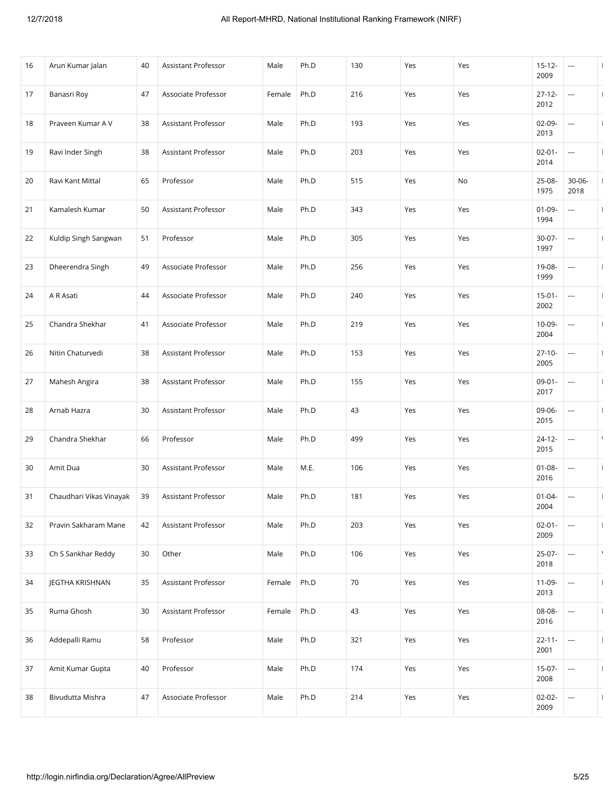| 16 | Arun Kumar Jalan        | 40 | Assistant Professor        | Male   | Ph.D | 130 | Yes | Yes | $15 - 12 -$<br>2009 | ---            | $\mathbf{I}$ |
|----|-------------------------|----|----------------------------|--------|------|-----|-----|-----|---------------------|----------------|--------------|
| 17 | Banasri Roy             | 47 | Associate Professor        | Female | Ph.D | 216 | Yes | Yes | $27 - 12 -$<br>2012 | ---            | $\mathbf{I}$ |
| 18 | Prayeen Kumar A V       | 38 | <b>Assistant Professor</b> | Male   | Ph.D | 193 | Yes | Yes | $02 - 09 -$<br>2013 | ---            | $\mathbf{I}$ |
| 19 | Ravi Inder Singh        | 38 | Assistant Professor        | Male   | Ph.D | 203 | Yes | Yes | $02 - 01 -$<br>2014 |                | $\mathbf{I}$ |
| 20 | Ravi Kant Mittal        | 65 | Professor                  | Male   | Ph.D | 515 | Yes | No  | 25-08-<br>1975      | 30-06-<br>2018 | $\mathbf{I}$ |
| 21 | Kamalesh Kumar          | 50 | Assistant Professor        | Male   | Ph.D | 343 | Yes | Yes | $01 - 09 -$<br>1994 | ---            | $\mathbf{I}$ |
| 22 | Kuldip Singh Sangwan    | 51 | Professor                  | Male   | Ph.D | 305 | Yes | Yes | 30-07-<br>1997      | ---            | $\mathbf{I}$ |
| 23 | Dheerendra Singh        | 49 | Associate Professor        | Male   | Ph.D | 256 | Yes | Yes | 19-08-<br>1999      | ---            | $\mathbf{I}$ |
| 24 | A R Asati               | 44 | Associate Professor        | Male   | Ph.D | 240 | Yes | Yes | $15 - 01 -$<br>2002 | ---            | Τ.           |
| 25 | Chandra Shekhar         | 41 | Associate Professor        | Male   | Ph.D | 219 | Yes | Yes | 10-09-<br>2004      | ---            | $\mathbf{I}$ |
| 26 | Nitin Chaturvedi        | 38 | Assistant Professor        | Male   | Ph.D | 153 | Yes | Yes | $27 - 10 -$<br>2005 | ---            | $\mathbf{I}$ |
| 27 | Mahesh Angira           | 38 | Assistant Professor        | Male   | Ph.D | 155 | Yes | Yes | $09-01-$<br>2017    | ---            | $\mathbf{I}$ |
| 28 | Arnab Hazra             | 30 | Assistant Professor        | Male   | Ph.D | 43  | Yes | Yes | 09-06-<br>2015      | $\cdots$       | $\mathbf{I}$ |
| 29 | Chandra Shekhar         | 66 | Professor                  | Male   | Ph.D | 499 | Yes | Yes | 24-12-<br>2015      | ---            | $\lambda$    |
| 30 | Amit Dua                | 30 | Assistant Professor        | Male   | M.E. | 106 | Yes | Yes | $01 - 08 -$<br>2016 | ---            | $\mathbf{I}$ |
| 31 | Chaudhari Vikas Vinayak | 39 | Assistant Professor        | Male   | Ph.D | 181 | Yes | Yes | $01 - 04 -$<br>2004 | ---            | $\mathbf{I}$ |
| 32 | Pravin Sakharam Mane    | 42 | Assistant Professor        | Male   | Ph.D | 203 | Yes | Yes | $02 - 01 -$<br>2009 | ---            | $\mathbf{I}$ |
| 33 | Ch S Sankhar Reddy      | 30 | Other                      | Male   | Ph.D | 106 | Yes | Yes | 25-07-<br>2018      | ---            | $\lambda$    |
| 34 | JEGTHA KRISHNAN         | 35 | Assistant Professor        | Female | Ph.D | 70  | Yes | Yes | 11-09-<br>2013      | ---            | Τ.           |
| 35 | Ruma Ghosh              | 30 | Assistant Professor        | Female | Ph.D | 43  | Yes | Yes | 08-08-<br>2016      | ---            | $\mathbf{I}$ |
| 36 | Addepalli Ramu          | 58 | Professor                  | Male   | Ph.D | 321 | Yes | Yes | $22 - 11 -$<br>2001 | ---            | $\mathbf{I}$ |
| 37 | Amit Kumar Gupta        | 40 | Professor                  | Male   | Ph.D | 174 | Yes | Yes | $15-07-$<br>2008    | $\cdots$       | $\mathbf{I}$ |
| 38 | Bivudutta Mishra        | 47 | Associate Professor        | Male   | Ph.D | 214 | Yes | Yes | 02-02-<br>2009      | $\cdots$       | $\mathbf{I}$ |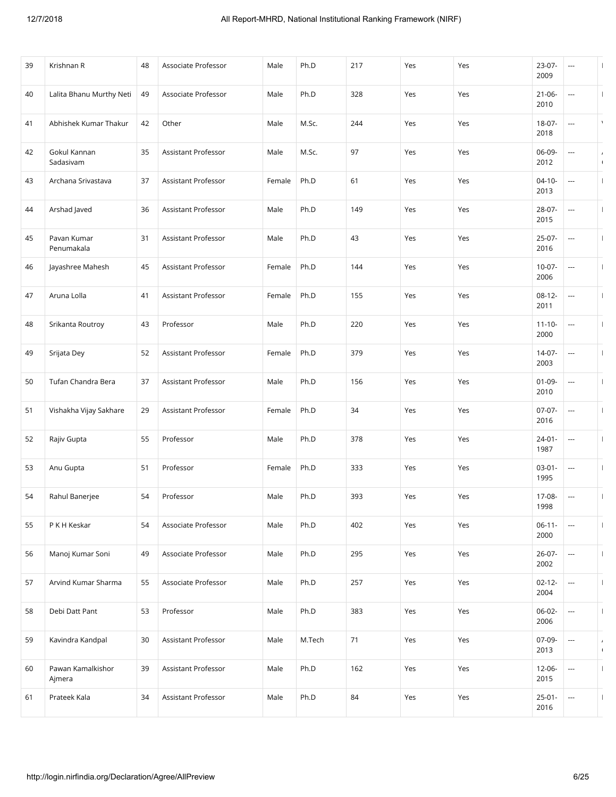| 39 | Krishnan R                  | 48 | Associate Professor | Male   | Ph.D   | 217 | Yes | Yes | $23-07-$<br>2009    | ---                      |                          |
|----|-----------------------------|----|---------------------|--------|--------|-----|-----|-----|---------------------|--------------------------|--------------------------|
| 40 | Lalita Bhanu Murthy Neti    | 49 | Associate Professor | Male   | Ph.D   | 328 | Yes | Yes | $21 - 06 -$<br>2010 | ---                      | H                        |
| 41 | Abhishek Kumar Thakur       | 42 | Other               | Male   | M.Sc.  | 244 | Yes | Yes | 18-07-<br>2018      | ---                      |                          |
| 42 | Gokul Kannan<br>Sadasivam   | 35 | Assistant Professor | Male   | M.Sc.  | 97  | Yes | Yes | 06-09-<br>2012      | ---                      | $\prime$<br>$\sqrt{2}$   |
| 43 | Archana Srivastava          | 37 | Assistant Professor | Female | Ph.D   | 61  | Yes | Yes | $04 - 10 -$<br>2013 | $\hspace{0.05cm} \ldots$ | $\mathbf{I}$             |
| 44 | Arshad Javed                | 36 | Assistant Professor | Male   | Ph.D   | 149 | Yes | Yes | 28-07-<br>2015      | ---                      |                          |
| 45 | Pavan Kumar<br>Penumakala   | 31 | Assistant Professor | Male   | Ph.D   | 43  | Yes | Yes | $25-07-$<br>2016    | ---                      | $\mathbf{I}$             |
| 46 | Jayashree Mahesh            | 45 | Assistant Professor | Female | Ph.D   | 144 | Yes | Yes | $10-07-$<br>2006    | ---                      |                          |
| 47 | Aruna Lolla                 | 41 | Assistant Professor | Female | Ph.D   | 155 | Yes | Yes | $08-12-$<br>2011    | ---                      | $\mathbf{I}$             |
| 48 | Srikanta Routroy            | 43 | Professor           | Male   | Ph.D   | 220 | Yes | Yes | $11 - 10 -$<br>2000 | ---                      |                          |
| 49 | Srijata Dey                 | 52 | Assistant Professor | Female | Ph.D   | 379 | Yes | Yes | 14-07-<br>2003      | ---                      |                          |
| 50 | Tufan Chandra Bera          | 37 | Assistant Professor | Male   | Ph.D   | 156 | Yes | Yes | $01 - 09 -$<br>2010 |                          |                          |
| 51 | Vishakha Vijay Sakhare      | 29 | Assistant Professor | Female | Ph.D   | 34  | Yes | Yes | $07-07-$<br>2016    | ---                      | $\mathbf{I}$             |
| 52 | Rajiv Gupta                 | 55 | Professor           | Male   | Ph.D   | 378 | Yes | Yes | $24 - 01 -$<br>1987 | ---                      |                          |
| 53 | Anu Gupta                   | 51 | Professor           | Female | Ph.D   | 333 | Yes | Yes | $03-01-$<br>1995    | ---                      |                          |
| 54 | Rahul Banerjee              | 54 | Professor           | Male   | Ph.D   | 393 | Yes | Yes | 17-08-<br>1998      | ---                      | $\overline{\phantom{a}}$ |
| 55 | P K H Keskar                | 54 | Associate Professor | Male   | Ph.D   | 402 | Yes | Yes | $06 - 11 -$<br>2000 |                          | $\mathbf{I}$             |
| 56 | Manoj Kumar Soni            | 49 | Associate Professor | Male   | Ph.D   | 295 | Yes | Yes | 26-07-<br>2002      | ---                      |                          |
| 57 | Arvind Kumar Sharma         | 55 | Associate Professor | Male   | Ph.D   | 257 | Yes | Yes | $02 - 12 -$<br>2004 | ---                      | $\mathbf{I}$             |
| 58 | Debi Datt Pant              | 53 | Professor           | Male   | Ph.D   | 383 | Yes | Yes | 06-02-<br>2006      | ---                      |                          |
| 59 | Kavindra Kandpal            | 30 | Assistant Professor | Male   | M.Tech | 71  | Yes | Yes | 07-09-<br>2013      | $\hspace{0.05cm}\ldots$  | $\prime$<br>$\sqrt{ }$   |
| 60 | Pawan Kamalkishor<br>Ajmera | 39 | Assistant Professor | Male   | Ph.D   | 162 | Yes | Yes | 12-06-<br>2015      | ---                      | $\mathbf{I}$             |
| 61 | Prateek Kala                | 34 | Assistant Professor | Male   | Ph.D   | 84  | Yes | Yes | $25 - 01 -$<br>2016 | ---                      |                          |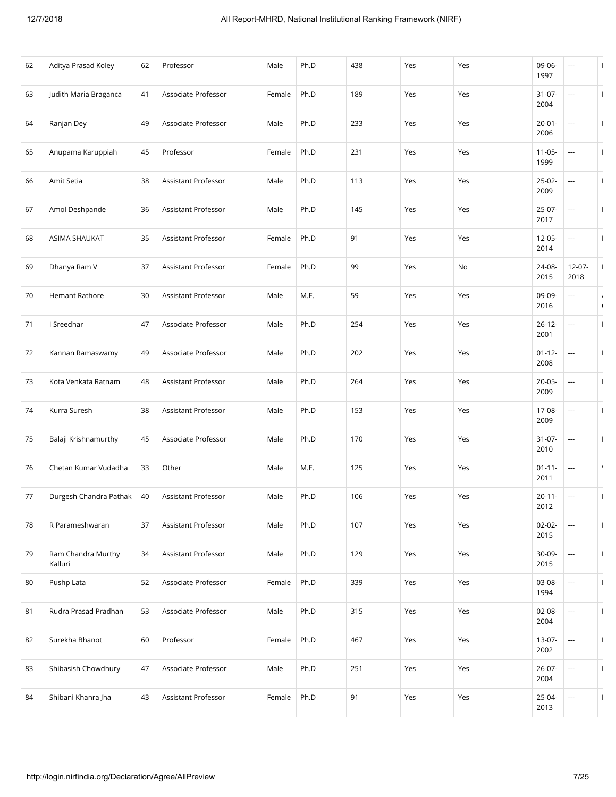| 62 | Aditya Prasad Koley           | 62 | Professor           | Male   | Ph.D | 438 | Yes | Yes | 09-06-<br>1997      | ---                      |              |
|----|-------------------------------|----|---------------------|--------|------|-----|-----|-----|---------------------|--------------------------|--------------|
| 63 | Judith Maria Braganca         | 41 | Associate Professor | Female | Ph.D | 189 | Yes | Yes | $31 - 07 -$<br>2004 | ---                      |              |
| 64 | Ranjan Dey                    | 49 | Associate Professor | Male   | Ph.D | 233 | Yes | Yes | $20 - 01 -$<br>2006 | ---                      |              |
| 65 | Anupama Karuppiah             | 45 | Professor           | Female | Ph.D | 231 | Yes | Yes | $11 - 05 -$<br>1999 | ---                      |              |
| 66 | Amit Setia                    | 38 | Assistant Professor | Male   | Ph.D | 113 | Yes | Yes | $25-02-$<br>2009    | ---                      | $\mathbf{I}$ |
| 67 | Amol Deshpande                | 36 | Assistant Professor | Male   | Ph.D | 145 | Yes | Yes | 25-07-<br>2017      | ---                      |              |
| 68 | <b>ASIMA SHAUKAT</b>          | 35 | Assistant Professor | Female | Ph.D | 91  | Yes | Yes | $12 - 05 -$<br>2014 | ---                      |              |
| 69 | Dhanya Ram V                  | 37 | Assistant Professor | Female | Ph.D | 99  | Yes | No  | 24-08-<br>2015      | $12 - 07 -$<br>2018      |              |
| 70 | Hemant Rathore                | 30 | Assistant Professor | Male   | M.E. | 59  | Yes | Yes | 09-09-<br>2016      | ---                      | $\sqrt{2}$   |
| 71 | I Sreedhar                    | 47 | Associate Professor | Male   | Ph.D | 254 | Yes | Yes | $26 - 12 -$<br>2001 | ---                      |              |
| 72 | Kannan Ramaswamy              | 49 | Associate Professor | Male   | Ph.D | 202 | Yes | Yes | $01 - 12 -$<br>2008 | ---                      |              |
| 73 | Kota Venkata Ratnam           | 48 | Assistant Professor | Male   | Ph.D | 264 | Yes | Yes | $20 - 05 -$<br>2009 | ---                      |              |
| 74 | Kurra Suresh                  | 38 | Assistant Professor | Male   | Ph.D | 153 | Yes | Yes | 17-08-<br>2009      | ---                      | $\mathbf{I}$ |
| 75 | Balaji Krishnamurthy          | 45 | Associate Professor | Male   | Ph.D | 170 | Yes | Yes | $31 - 07 -$<br>2010 | ---                      |              |
| 76 | Chetan Kumar Vudadha          | 33 | Other               | Male   | M.E. | 125 | Yes | Yes | $01 - 11 -$<br>2011 | ---                      |              |
| 77 | Durgesh Chandra Pathak        | 40 | Assistant Professor | Male   | Ph.D | 106 | Yes | Yes | $20 - 11 -$<br>2012 | ---                      |              |
| 78 | R Parameshwaran               | 37 | Assistant Professor | Male   | Ph.D | 107 | Yes | Yes | $02 - 02 -$<br>2015 | ---                      | $\mathbf{I}$ |
| 79 | Ram Chandra Murthy<br>Kalluri | 34 | Assistant Professor | Male   | Ph.D | 129 | Yes | Yes | 30-09-<br>2015      | $\hspace{0.05cm} \ldots$ | $\mathbf{I}$ |
| 80 | Pushp Lata                    | 52 | Associate Professor | Female | Ph.D | 339 | Yes | Yes | 03-08-<br>1994      | ---                      | $\mathbf{I}$ |
| 81 | Rudra Prasad Pradhan          | 53 | Associate Professor | Male   | Ph.D | 315 | Yes | Yes | 02-08-<br>2004      | $\cdots$                 |              |
| 82 | Surekha Bhanot                | 60 | Professor           | Female | Ph.D | 467 | Yes | Yes | 13-07-<br>2002      | $\overline{\phantom{a}}$ | $\mathbf{I}$ |
| 83 | Shibasish Chowdhury           | 47 | Associate Professor | Male   | Ph.D | 251 | Yes | Yes | 26-07-<br>2004      | ---                      | $\mathbf{I}$ |
| 84 | Shibani Khanra Jha            | 43 | Assistant Professor | Female | Ph.D | 91  | Yes | Yes | 25-04-<br>2013      | ---                      |              |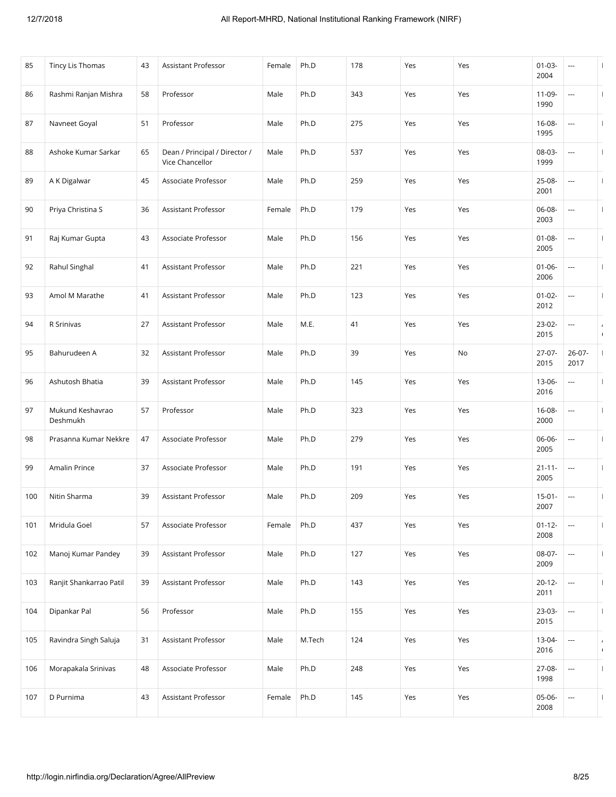| 85  | Tincy Lis Thomas             | 43 | <b>Assistant Professor</b>                       | Female | Ph.D   | 178 | Yes | Yes | $01 - 03 -$<br>2004 | ---                      |                        |
|-----|------------------------------|----|--------------------------------------------------|--------|--------|-----|-----|-----|---------------------|--------------------------|------------------------|
| 86  | Rashmi Ranjan Mishra         | 58 | Professor                                        | Male   | Ph.D   | 343 | Yes | Yes | 11-09-<br>1990      | ---                      | H                      |
| 87  | Navneet Goyal                | 51 | Professor                                        | Male   | Ph.D   | 275 | Yes | Yes | $16 - 08 -$<br>1995 | ---                      | -1                     |
| 88  | Ashoke Kumar Sarkar          | 65 | Dean / Principal / Director /<br>Vice Chancellor | Male   | Ph.D   | 537 | Yes | Yes | 08-03-<br>1999      |                          | H                      |
| 89  | A K Digalwar                 | 45 | Associate Professor                              | Male   | Ph.D   | 259 | Yes | Yes | 25-08-<br>2001      | ---                      | $\mathbf{I}$           |
| 90  | Priya Christina S            | 36 | Assistant Professor                              | Female | Ph.D   | 179 | Yes | Yes | 06-08-<br>2003      | ---                      |                        |
| 91  | Raj Kumar Gupta              | 43 | Associate Professor                              | Male   | Ph.D   | 156 | Yes | Yes | $01 - 08 -$<br>2005 | ---                      | $\overline{1}$         |
| 92  | Rahul Singhal                | 41 | Assistant Professor                              | Male   | Ph.D   | 221 | Yes | Yes | $01 - 06 -$<br>2006 | ---                      |                        |
| 93  | Amol M Marathe               | 41 | Assistant Professor                              | Male   | Ph.D   | 123 | Yes | Yes | $01 - 02 -$<br>2012 | $\overline{\phantom{a}}$ | $\mathbf{I}$           |
| 94  | R Srinivas                   | 27 | <b>Assistant Professor</b>                       | Male   | M.E.   | 41  | Yes | Yes | 23-02-<br>2015      | ---                      | $\prime$<br>$\sqrt{2}$ |
| 95  | Bahurudeen A                 | 32 | Assistant Professor                              | Male   | Ph.D   | 39  | Yes | No  | 27-07-<br>2015      | 26-07-<br>2017           |                        |
| 96  | Ashutosh Bhatia              | 39 | Assistant Professor                              | Male   | Ph.D   | 145 | Yes | Yes | 13-06-<br>2016      |                          |                        |
| 97  | Mukund Keshavrao<br>Deshmukh | 57 | Professor                                        | Male   | Ph.D   | 323 | Yes | Yes | $16 - 08 -$<br>2000 | $\hspace{0.05cm} \ldots$ | $\mathbf{I}$           |
| 98  | Prasanna Kumar Nekkre        | 47 | Associate Professor                              | Male   | Ph.D   | 279 | Yes | Yes | 06-06-<br>2005      | ---                      |                        |
| 99  | Amalin Prince                | 37 | Associate Professor                              | Male   | Ph.D   | 191 | Yes | Yes | $21 - 11 -$<br>2005 | ---                      |                        |
| 100 | Nitin Sharma                 | 39 | Assistant Professor                              | Male   | Ph.D   | 209 | Yes | Yes | $15 - 01 -$<br>2007 | ---                      |                        |
| 101 | Mridula Goel                 | 57 | Associate Professor                              | Female | Ph.D   | 437 | Yes | Yes | $01 - 12 -$<br>2008 |                          | $\mathbf{I}$           |
| 102 | Manoj Kumar Pandey           | 39 | Assistant Professor                              | Male   | Ph.D   | 127 | Yes | Yes | 08-07-<br>2009      | ---                      |                        |
| 103 | Ranjit Shankarrao Patil      | 39 | Assistant Professor                              | Male   | Ph.D   | 143 | Yes | Yes | $20 - 12 -$<br>2011 | ---                      | $\mathbf{I}$           |
| 104 | Dipankar Pal                 | 56 | Professor                                        | Male   | Ph.D   | 155 | Yes | Yes | 23-03-<br>2015      | ---                      |                        |
| 105 | Ravindra Singh Saluja        | 31 | Assistant Professor                              | Male   | M.Tech | 124 | Yes | Yes | 13-04-<br>2016      | $\hspace{0.05cm}\ldots$  | $\prime$<br>$\sqrt{ }$ |
| 106 | Morapakala Srinivas          | 48 | Associate Professor                              | Male   | Ph.D   | 248 | Yes | Yes | 27-08-<br>1998      | ---                      | $\mathbf{I}$           |
| 107 | D Purnima                    | 43 | Assistant Professor                              | Female | Ph.D   | 145 | Yes | Yes | 05-06-<br>2008      | ---                      |                        |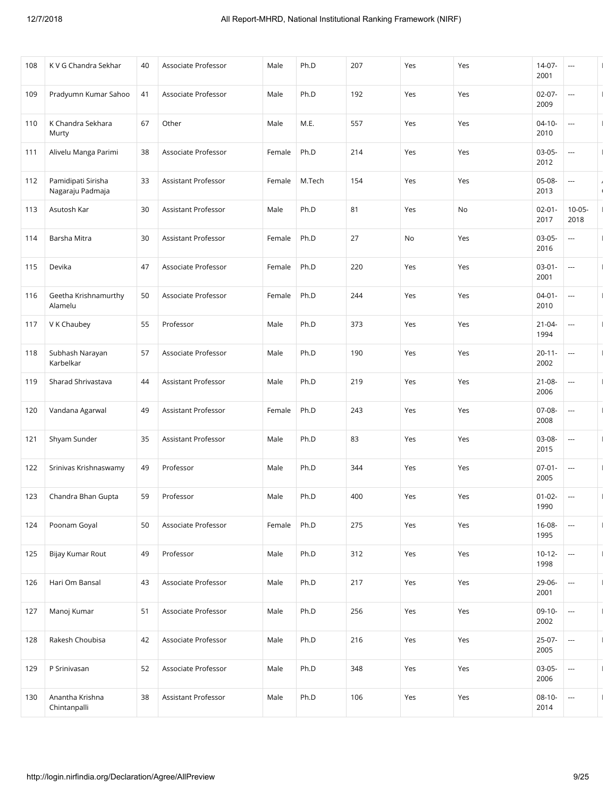| 108 | K V G Chandra Sekhar                   | 40 | Associate Professor | Male   | Ph.D   | 207 | Yes | Yes | 14-07-<br>2001      | ---                      |                        |
|-----|----------------------------------------|----|---------------------|--------|--------|-----|-----|-----|---------------------|--------------------------|------------------------|
| 109 | Pradyumn Kumar Sahoo                   | 41 | Associate Professor | Male   | Ph.D   | 192 | Yes | Yes | $02 - 07 -$<br>2009 | ---                      | $\mathbf{I}$           |
| 110 | K Chandra Sekhara<br>Murty             | 67 | Other               | Male   | M.E.   | 557 | Yes | Yes | $04 - 10 -$<br>2010 | ---                      |                        |
| 111 | Alivelu Manga Parimi                   | 38 | Associate Professor | Female | Ph.D   | 214 | Yes | Yes | $03-05-$<br>2012    | ---                      |                        |
| 112 | Pamidipati Sirisha<br>Nagaraju Padmaja | 33 | Assistant Professor | Female | M.Tech | 154 | Yes | Yes | 05-08-<br>2013      | ---                      | $\prime$<br>$\sqrt{ }$ |
| 113 | Asutosh Kar                            | 30 | Assistant Professor | Male   | Ph.D   | 81  | Yes | No  | $02 - 01 -$<br>2017 | $10 - 05 -$<br>2018      | $\mathbf{I}$           |
| 114 | Barsha Mitra                           | 30 | Assistant Professor | Female | Ph.D   | 27  | No  | Yes | $03-05-$<br>2016    | ---                      | $\mathbf{I}$           |
| 115 | Devika                                 | 47 | Associate Professor | Female | Ph.D   | 220 | Yes | Yes | $03-01-$<br>2001    | ---                      |                        |
| 116 | Geetha Krishnamurthy<br>Alamelu        | 50 | Associate Professor | Female | Ph.D   | 244 | Yes | Yes | $04 - 01 -$<br>2010 |                          | $\mathbf{I}$           |
| 117 | V K Chaubey                            | 55 | Professor           | Male   | Ph.D   | 373 | Yes | Yes | $21 - 04 -$<br>1994 | ---                      | $\mathbf{I}$           |
| 118 | Subhash Narayan<br>Karbelkar           | 57 | Associate Professor | Male   | Ph.D   | 190 | Yes | Yes | $20 - 11 -$<br>2002 | $\cdots$                 |                        |
| 119 | Sharad Shrivastava                     | 44 | Assistant Professor | Male   | Ph.D   | 219 | Yes | Yes | $21 - 08 -$<br>2006 | ---                      | $\overline{1}$         |
| 120 | Vandana Agarwal                        | 49 | Assistant Professor | Female | Ph.D   | 243 | Yes | Yes | 07-08-<br>2008      | ---                      | $\mathbf{I}$           |
| 121 | Shyam Sunder                           | 35 | Assistant Professor | Male   | Ph.D   | 83  | Yes | Yes | 03-08-<br>2015      | $\cdots$                 |                        |
| 122 | Srinivas Krishnaswamy                  | 49 | Professor           | Male   | Ph.D   | 344 | Yes | Yes | $07 - 01 -$<br>2005 | ---                      |                        |
| 123 | Chandra Bhan Gupta                     | 59 | Professor           | Male   | Ph.D   | 400 | Yes | Yes | $01 - 02 -$<br>1990 | ---                      | $\mathbf{I}$           |
| 124 | Poonam Goyal                           | 50 | Associate Professor | Female | Ph.D   | 275 | Yes | Yes | 16-08-<br>1995      | $\overline{\phantom{a}}$ | $\mathbf{I}$           |
| 125 | Bijay Kumar Rout                       | 49 | Professor           | Male   | Ph.D   | 312 | Yes | Yes | $10 - 12 -$<br>1998 | $\hspace{0.05cm}\ldots$  | $\mathbf{I}$           |
| 126 | Hari Om Bansal                         | 43 | Associate Professor | Male   | Ph.D   | 217 | Yes | Yes | 29-06-<br>2001      | ---                      | $\mathbf{I}$           |
| 127 | Manoj Kumar                            | 51 | Associate Professor | Male   | Ph.D   | 256 | Yes | Yes | $09-10-$<br>2002    | ---                      |                        |
| 128 | Rakesh Choubisa                        | 42 | Associate Professor | Male   | Ph.D   | 216 | Yes | Yes | 25-07-<br>2005      | $\overline{\phantom{a}}$ | $\mathbf{I}$           |
| 129 | P Srinivasan                           | 52 | Associate Professor | Male   | Ph.D   | 348 | Yes | Yes | $03-05-$<br>2006    | $\cdots$                 | $\mathbf{I}$           |
| 130 | Anantha Krishna<br>Chintanpalli        | 38 | Assistant Professor | Male   | Ph.D   | 106 | Yes | Yes | $08-10-$<br>2014    | ---                      |                        |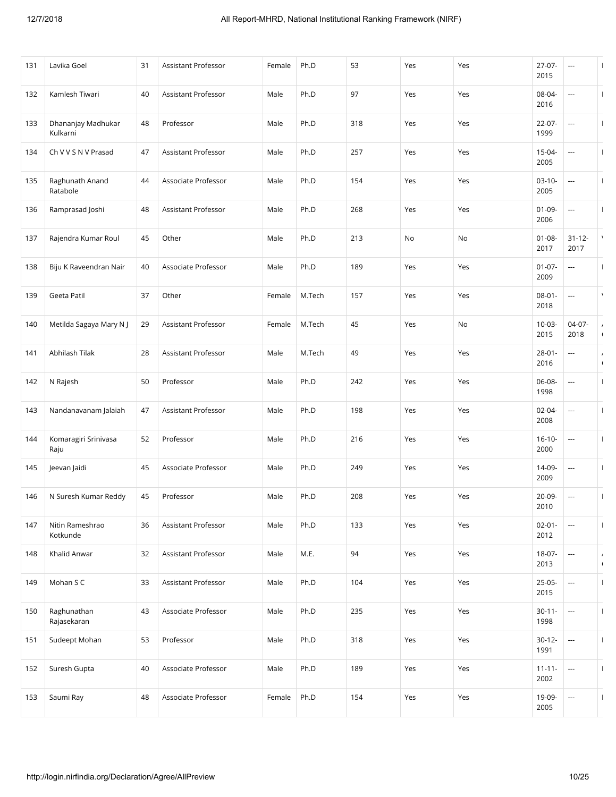| 131 | Lavika Goel                    | 31 | Assistant Professor        | Female | Ph.D   | 53  | Yes | Yes | 27-07-<br>2015      | ---                      | $\mathbf{I}$                 |
|-----|--------------------------------|----|----------------------------|--------|--------|-----|-----|-----|---------------------|--------------------------|------------------------------|
| 132 | Kamlesh Tiwari                 | 40 | Assistant Professor        | Male   | Ph.D   | 97  | Yes | Yes | 08-04-<br>2016      | ---                      | $\mathbf{I}$                 |
| 133 | Dhananjay Madhukar<br>Kulkarni | 48 | Professor                  | Male   | Ph.D   | 318 | Yes | Yes | 22-07-<br>1999      | $\cdots$                 | -1                           |
| 134 | Ch V V S N V Prasad            | 47 | Assistant Professor        | Male   | Ph.D   | 257 | Yes | Yes | $15 - 04 -$<br>2005 |                          | $\mathbf{I}$                 |
| 135 | Raghunath Anand<br>Ratabole    | 44 | Associate Professor        | Male   | Ph.D   | 154 | Yes | Yes | $03 - 10 -$<br>2005 | ---                      | $\mathbf{I}$                 |
| 136 | Ramprasad Joshi                | 48 | Assistant Professor        | Male   | Ph.D   | 268 | Yes | Yes | $01 - 09 -$<br>2006 | ---                      |                              |
| 137 | Rajendra Kumar Roul            | 45 | Other                      | Male   | Ph.D   | 213 | No  | No  | $01 - 08 -$<br>2017 | $31 - 12 -$<br>2017      |                              |
| 138 | Biju K Raveendran Nair         | 40 | Associate Professor        | Male   | Ph.D   | 189 | Yes | Yes | $01 - 07 -$<br>2009 | ---                      |                              |
| 139 | Geeta Patil                    | 37 | Other                      | Female | M.Tech | 157 | Yes | Yes | $08 - 01 -$<br>2018 |                          | $\lambda$                    |
| 140 | Metilda Sagaya Mary N J        | 29 | <b>Assistant Professor</b> | Female | M.Tech | 45  | Yes | No  | $10 - 03 -$<br>2015 | 04-07-<br>2018           | $\prime$<br>$\sqrt{2}$       |
| 141 | Abhilash Tilak                 | 28 | Assistant Professor        | Male   | M.Tech | 49  | Yes | Yes | $28 - 01 -$<br>2016 | ---                      | $\overline{ }$<br>$\sqrt{ }$ |
| 142 | N Rajesh                       | 50 | Professor                  | Male   | Ph.D   | 242 | Yes | Yes | 06-08-<br>1998      | ---                      |                              |
| 143 | Nandanavanam Jalaiah           | 47 | Assistant Professor        | Male   | Ph.D   | 198 | Yes | Yes | $02 - 04 -$<br>2008 | ---                      | $\mathbf{I}$                 |
| 144 | Komaragiri Srinivasa<br>Raju   | 52 | Professor                  | Male   | Ph.D   | 216 | Yes | Yes | $16 - 10 -$<br>2000 | ---                      |                              |
| 145 | Jeevan Jaidi                   | 45 | Associate Professor        | Male   | Ph.D   | 249 | Yes | Yes | 14-09-<br>2009      | ---                      |                              |
| 146 | N Suresh Kumar Reddy           | 45 | Professor                  | Male   | Ph.D   | 208 | Yes | Yes | 20-09-<br>2010      | ---                      | $\overline{1}$               |
| 147 | Nitin Rameshrao<br>Kotkunde    | 36 | Assistant Professor        | Male   | Ph.D   | 133 | Yes | Yes | $02 - 01 -$<br>2012 | ---                      | $\mathbf{I}$                 |
| 148 | Khalid Anwar                   | 32 | Assistant Professor        | Male   | M.E.   | 94  | Yes | Yes | 18-07-<br>2013      | ---                      | $\overline{ }$<br>$\sqrt{ }$ |
| 149 | Mohan S C                      | 33 | Assistant Professor        | Male   | Ph.D   | 104 | Yes | Yes | $25-05-$<br>2015    | $\cdots$                 |                              |
| 150 | Raghunathan<br>Rajasekaran     | 43 | Associate Professor        | Male   | Ph.D   | 235 | Yes | Yes | $30 - 11 -$<br>1998 | ---                      | H                            |
| 151 | Sudeept Mohan                  | 53 | Professor                  | Male   | Ph.D   | 318 | Yes | Yes | $30 - 12 -$<br>1991 | ---                      | $\mathbf{I}$                 |
| 152 | Suresh Gupta                   | 40 | Associate Professor        | Male   | Ph.D   | 189 | Yes | Yes | $11 - 11 -$<br>2002 | $\cdots$                 |                              |
| 153 | Saumi Ray                      | 48 | Associate Professor        | Female | Ph.D   | 154 | Yes | Yes | 19-09-<br>2005      | $\overline{\phantom{a}}$ |                              |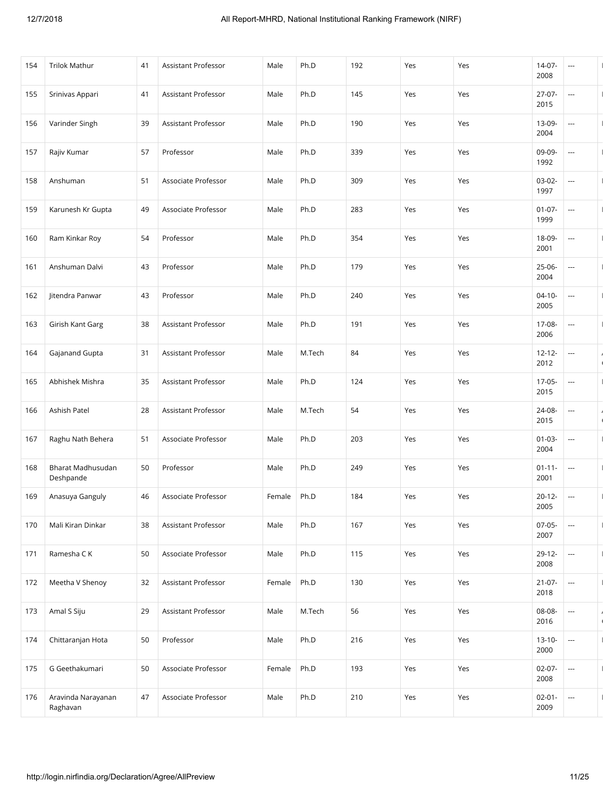| 154 | <b>Trilok Mathur</b>                  | 41 | Assistant Professor | Male   | Ph.D   | 192 | Yes | Yes | 14-07-<br>2008      | ---                      | $\mathbf{I}$                 |
|-----|---------------------------------------|----|---------------------|--------|--------|-----|-----|-----|---------------------|--------------------------|------------------------------|
| 155 | Srinivas Appari                       | 41 | Assistant Professor | Male   | Ph.D   | 145 | Yes | Yes | $27-07-$<br>2015    | ---                      | H                            |
| 156 | Varinder Singh                        | 39 | Assistant Professor | Male   | Ph.D   | 190 | Yes | Yes | 13-09-<br>2004      | $\cdots$                 | -1                           |
| 157 | Rajiv Kumar                           | 57 | Professor           | Male   | Ph.D   | 339 | Yes | Yes | 09-09-<br>1992      |                          | H                            |
| 158 | Anshuman                              | 51 | Associate Professor | Male   | Ph.D   | 309 | Yes | Yes | $03-02-$<br>1997    | ---                      | $\mathbf{I}$                 |
| 159 | Karunesh Kr Gupta                     | 49 | Associate Professor | Male   | Ph.D   | 283 | Yes | Yes | $01 - 07 -$<br>1999 | $\cdots$                 |                              |
| 160 | Ram Kinkar Roy                        | 54 | Professor           | Male   | Ph.D   | 354 | Yes | Yes | 18-09-<br>2001      | ---                      | $\overline{1}$               |
| 161 | Anshuman Dalvi                        | 43 | Professor           | Male   | Ph.D   | 179 | Yes | Yes | 25-06-<br>2004      | ---                      |                              |
| 162 | Jitendra Panwar                       | 43 | Professor           | Male   | Ph.D   | 240 | Yes | Yes | $04 - 10 -$<br>2005 | ---                      |                              |
| 163 | Girish Kant Garg                      | 38 | Assistant Professor | Male   | Ph.D   | 191 | Yes | Yes | 17-08-<br>2006      | ---                      |                              |
| 164 | Gajanand Gupta                        | 31 | Assistant Professor | Male   | M.Tech | 84  | Yes | Yes | $12 - 12 -$<br>2012 | ---                      | $\overline{ }$<br>$\sqrt{ }$ |
| 165 | Abhishek Mishra                       | 35 | Assistant Professor | Male   | Ph.D   | 124 | Yes | Yes | $17-05-$<br>2015    | ---                      |                              |
| 166 | Ashish Patel                          | 28 | Assistant Professor | Male   | M.Tech | 54  | Yes | Yes | 24-08-<br>2015      | $\overline{\phantom{a}}$ | $\prime$<br>$\sqrt{ }$       |
| 167 | Raghu Nath Behera                     | 51 | Associate Professor | Male   | Ph.D   | 203 | Yes | Yes | $01 - 03 -$<br>2004 | ---                      |                              |
| 168 | <b>Bharat Madhusudan</b><br>Deshpande | 50 | Professor           | Male   | Ph.D   | 249 | Yes | Yes | $01 - 11 -$<br>2001 | $\overline{\phantom{a}}$ |                              |
| 169 | Anasuya Ganguly                       | 46 | Associate Professor | Female | Ph.D   | 184 | Yes | Yes | $20 - 12 -$<br>2005 | ---                      |                              |
| 170 | Mali Kiran Dinkar                     | 38 | Assistant Professor | Male   | Ph.D   | 167 | Yes | Yes | $07-05-$<br>2007    | ---                      | $\overline{1}$               |
| 171 | Ramesha C K                           | 50 | Associate Professor | Male   | Ph.D   | 115 | Yes | Yes | $29-12-$<br>2008    | $\cdots$                 |                              |
| 172 | Meetha V Shenoy                       | 32 | Assistant Professor | Female | Ph.D   | 130 | Yes | Yes | $21 - 07 -$<br>2018 | $\cdots$                 | $\mathbf{I}$                 |
| 173 | Amal S Siju                           | 29 | Assistant Professor | Male   | M.Tech | 56  | Yes | Yes | 08-08-<br>2016      | ---                      | $\prime$<br>$\sqrt{2}$       |
| 174 | Chittaranjan Hota                     | 50 | Professor           | Male   | Ph.D   | 216 | Yes | Yes | $13 - 10 -$<br>2000 | ---                      | $\mathbf{I}$                 |
| 175 | G Geethakumari                        | 50 | Associate Professor | Female | Ph.D   | 193 | Yes | Yes | $02-07-$<br>2008    | $\cdots$                 | $\mathbf{I}$                 |
| 176 | Aravinda Narayanan<br>Raghavan        | 47 | Associate Professor | Male   | Ph.D   | 210 | Yes | Yes | $02 - 01 -$<br>2009 | ---                      |                              |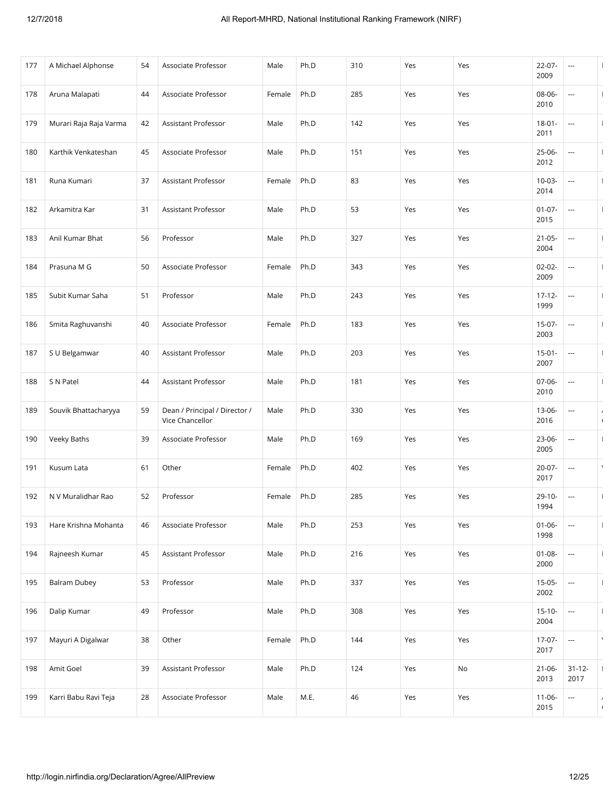| 177 | A Michael Alphonse     | 54 | Associate Professor                              | Male   | Ph.D | 310 | Yes | Yes | $22 - 07 -$<br>2009 | ---                      | $\mathbf{I}$           |
|-----|------------------------|----|--------------------------------------------------|--------|------|-----|-----|-----|---------------------|--------------------------|------------------------|
| 178 | Aruna Malapati         | 44 | Associate Professor                              | Female | Ph.D | 285 | Yes | Yes | 08-06-<br>2010      | ---                      | H                      |
| 179 | Murari Raja Raja Varma | 42 | Assistant Professor                              | Male   | Ph.D | 142 | Yes | Yes | $18 - 01 -$<br>2011 | $\overline{\phantom{a}}$ |                        |
| 180 | Karthik Venkateshan    | 45 | Associate Professor                              | Male   | Ph.D | 151 | Yes | Yes | $25 - 06 -$<br>2012 |                          | H                      |
| 181 | Runa Kumari            | 37 | Assistant Professor                              | Female | Ph.D | 83  | Yes | Yes | $10 - 03 -$<br>2014 | ---                      | $\mathbf{I}$           |
| 182 | Arkamitra Kar          | 31 | Assistant Professor                              | Male   | Ph.D | 53  | Yes | Yes | $01 - 07 -$<br>2015 | $\cdots$                 |                        |
| 183 | Anil Kumar Bhat        | 56 | Professor                                        | Male   | Ph.D | 327 | Yes | Yes | $21 - 05 -$<br>2004 | ---                      | $\mathbf{I}$           |
| 184 | Prasuna M G            | 50 | Associate Professor                              | Female | Ph.D | 343 | Yes | Yes | $02 - 02 -$<br>2009 | ---                      |                        |
| 185 | Subit Kumar Saha       | 51 | Professor                                        | Male   | Ph.D | 243 | Yes | Yes | $17 - 12 -$<br>1999 | ---                      |                        |
| 186 | Smita Raghuvanshi      | 40 | Associate Professor                              | Female | Ph.D | 183 | Yes | Yes | $15-07-$<br>2003    | ---                      |                        |
| 187 | S U Belgamwar          | 40 | Assistant Professor                              | Male   | Ph.D | 203 | Yes | Yes | $15-01-$<br>2007    | ---                      |                        |
| 188 | S N Patel              | 44 | Assistant Professor                              | Male   | Ph.D | 181 | Yes | Yes | 07-06-<br>2010      | ---                      |                        |
| 189 | Souvik Bhattacharyya   | 59 | Dean / Principal / Director /<br>Vice Chancellor | Male   | Ph.D | 330 | Yes | Yes | 13-06-<br>2016      | $\overline{\phantom{a}}$ | $\prime$<br>$\sqrt{ }$ |
| 190 | Veeky Baths            | 39 | Associate Professor                              | Male   | Ph.D | 169 | Yes | Yes | 23-06-<br>2005      | ---                      |                        |
| 191 | Kusum Lata             | 61 | Other                                            | Female | Ph.D | 402 | Yes | Yes | 20-07-<br>2017      | ---                      | $\lambda$              |
| 192 | N V Muralidhar Rao     | 52 | Professor                                        | Female | Ph.D | 285 | Yes | Yes | $29-10-$<br>1994    | ---                      |                        |
| 193 | Hare Krishna Mohanta   | 46 | Associate Professor                              | Male   | Ph.D | 253 | Yes | Yes | $01 - 06 -$<br>1998 | ---                      | $\mathbf{I}$           |
| 194 | Rajneesh Kumar         | 45 | Assistant Professor                              | Male   | Ph.D | 216 | Yes | Yes | $01 - 08 -$<br>2000 | $\overline{\phantom{a}}$ |                        |
| 195 | <b>Balram Dubey</b>    | 53 | Professor                                        | Male   | Ph.D | 337 | Yes | Yes | $15-05-$<br>2002    | ---                      | $\overline{1}$         |
| 196 | Dalip Kumar            | 49 | Professor                                        | Male   | Ph.D | 308 | Yes | Yes | $15 - 10 -$<br>2004 | ---                      |                        |
| 197 | Mayuri A Digalwar      | 38 | Other                                            | Female | Ph.D | 144 | Yes | Yes | $17-07-$<br>2017    | $\overline{\phantom{a}}$ | $\lambda$              |
| 198 | Amit Goel              | 39 | Assistant Professor                              | Male   | Ph.D | 124 | Yes | No  | $21 - 06 -$<br>2013 | $31 - 12 -$<br>2017      |                        |
| 199 | Karri Babu Ravi Teja   | 28 | Associate Professor                              | Male   | M.E. | 46  | Yes | Yes | $11 - 06 -$<br>2015 | $\overline{\phantom{a}}$ | $\prime$<br>$\sqrt{2}$ |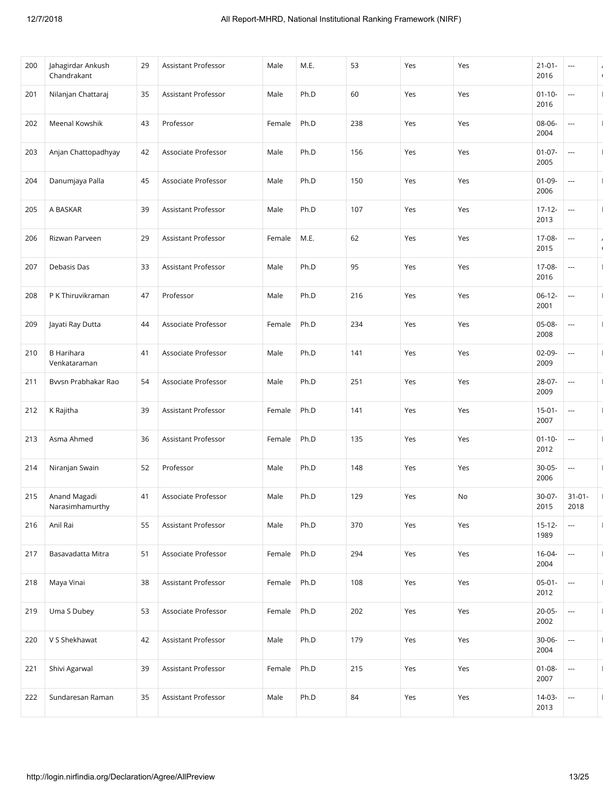| 200 | Jahagirdar Ankush<br>Chandrakant  | 29 | Assistant Professor        | Male   | M.E. | 53  | Yes | Yes | $21 - 01 -$<br>2016 | ---                      | $\sqrt{ }$   |
|-----|-----------------------------------|----|----------------------------|--------|------|-----|-----|-----|---------------------|--------------------------|--------------|
| 201 | Nilanjan Chattaraj                | 35 | Assistant Professor        | Male   | Ph.D | 60  | Yes | Yes | $01 - 10 -$<br>2016 | ---                      |              |
| 202 | Meenal Kowshik                    | 43 | Professor                  | Female | Ph.D | 238 | Yes | Yes | 08-06-<br>2004      | ---                      |              |
| 203 | Anjan Chattopadhyay               | 42 | Associate Professor        | Male   | Ph.D | 156 | Yes | Yes | $01 - 07 -$<br>2005 |                          |              |
| 204 | Danumjaya Palla                   | 45 | Associate Professor        | Male   | Ph.D | 150 | Yes | Yes | $01 - 09 -$<br>2006 | ---                      | $\mathbf{I}$ |
| 205 | A BASKAR                          | 39 | Assistant Professor        | Male   | Ph.D | 107 | Yes | Yes | $17 - 12 -$<br>2013 | $\hspace{0.05cm} \ldots$ |              |
| 206 | Rizwan Parveen                    | 29 | Assistant Professor        | Female | M.E. | 62  | Yes | Yes | 17-08-<br>2015      | ---                      | $\sqrt{2}$   |
| 207 | Debasis Das                       | 33 | Assistant Professor        | Male   | Ph.D | 95  | Yes | Yes | 17-08-<br>2016      | ---                      |              |
| 208 | P K Thiruvikraman                 | 47 | Professor                  | Male   | Ph.D | 216 | Yes | Yes | $06-12-$<br>2001    | $\hspace{0.05cm} \ldots$ | $\mathbf{I}$ |
| 209 | Jayati Ray Dutta                  | 44 | Associate Professor        | Female | Ph.D | 234 | Yes | Yes | 05-08-<br>2008      | ---                      |              |
| 210 | <b>B</b> Harihara<br>Venkataraman | 41 | Associate Professor        | Male   | Ph.D | 141 | Yes | Yes | 02-09-<br>2009      | ---                      |              |
| 211 | Bvvsn Prabhakar Rao               | 54 | Associate Professor        | Male   | Ph.D | 251 | Yes | Yes | 28-07-<br>2009      | ---                      |              |
| 212 | K Rajitha                         | 39 | Assistant Professor        | Female | Ph.D | 141 | Yes | Yes | $15 - 01 -$<br>2007 | $\cdots$                 | $\mathbf{I}$ |
| 213 | Asma Ahmed                        | 36 | Assistant Professor        | Female | Ph.D | 135 | Yes | Yes | $01 - 10 -$<br>2012 | ---                      |              |
| 214 | Niranjan Swain                    | 52 | Professor                  | Male   | Ph.D | 148 | Yes | Yes | $30 - 05 -$<br>2006 | ---                      |              |
| 215 | Anand Magadi<br>Narasimhamurthy   | 41 | Associate Professor        | Male   | Ph.D | 129 | Yes | No  | $30-07-$<br>2015    | $31 - 01 -$<br>2018      | $\mathbf{I}$ |
| 216 | Anil Rai                          | 55 | Assistant Professor        | Male   | Ph.D | 370 | Yes | Yes | $15 - 12 -$<br>1989 | $\sim$                   | $\mathbf{I}$ |
| 217 | Basavadatta Mitra                 | 51 | Associate Professor        | Female | Ph.D | 294 | Yes | Yes | $16 - 04 -$<br>2004 | ---                      |              |
| 218 | Maya Vinai                        | 38 | <b>Assistant Professor</b> | Female | Ph.D | 108 | Yes | Yes | $05-01-$<br>2012    | ---                      | $\mathbf{I}$ |
| 219 | Uma S Dubey                       | 53 | Associate Professor        | Female | Ph.D | 202 | Yes | Yes | $20 - 05 -$<br>2002 | ---                      |              |
| 220 | V S Shekhawat                     | 42 | Assistant Professor        | Male   | Ph.D | 179 | Yes | Yes | 30-06-<br>2004      | $\hspace{0.05cm} \ldots$ | $\mathbf{I}$ |
| 221 | Shivi Agarwal                     | 39 | Assistant Professor        | Female | Ph.D | 215 | Yes | Yes | $01 - 08 -$<br>2007 | ---                      |              |
| 222 | Sundaresan Raman                  | 35 | Assistant Professor        | Male   | Ph.D | 84  | Yes | Yes | 14-03-<br>2013      | ---                      |              |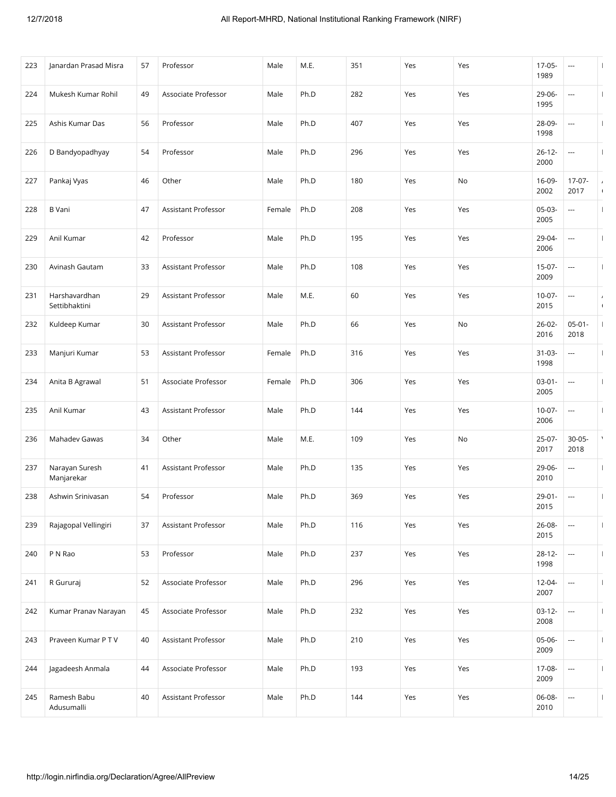| 223 | Janardan Prasad Misra          | 57 | Professor           | Male   | M.E. | 351 | Yes | Yes                          | 17-05-<br>1989      | ---                      |                        |
|-----|--------------------------------|----|---------------------|--------|------|-----|-----|------------------------------|---------------------|--------------------------|------------------------|
| 224 | Mukesh Kumar Rohil             | 49 | Associate Professor | Male   | Ph.D | 282 | Yes | Yes                          | 29-06-<br>1995      | ---                      |                        |
| 225 | Ashis Kumar Das                | 56 | Professor           | Male   | Ph.D | 407 | Yes | Yes                          | 28-09-<br>1998      | ---                      |                        |
| 226 | D Bandyopadhyay                | 54 | Professor           | Male   | Ph.D | 296 | Yes | Yes                          | $26 - 12 -$<br>2000 |                          |                        |
| 227 | Pankaj Vyas                    | 46 | Other               | Male   | Ph.D | 180 | Yes | No                           | 16-09-<br>2002      | $17-07-$<br>2017         | $\prime$<br>$\sqrt{2}$ |
| 228 | <b>B</b> Vani                  | 47 | Assistant Professor | Female | Ph.D | 208 | Yes | Yes                          | $05-03-$<br>2005    | ---                      |                        |
| 229 | Anil Kumar                     | 42 | Professor           | Male   | Ph.D | 195 | Yes | Yes                          | 29-04-<br>2006      |                          | $\overline{1}$         |
| 230 | Avinash Gautam                 | 33 | Assistant Professor | Male   | Ph.D | 108 | Yes | Yes                          | 15-07-<br>2009      | ---                      |                        |
| 231 | Harshavardhan<br>Settibhaktini | 29 | Assistant Professor | Male   | M.E. | 60  | Yes | Yes                          | $10-07-$<br>2015    | ---                      | $\prime$<br>$\sqrt{2}$ |
| 232 | Kuldeep Kumar                  | 30 | Assistant Professor | Male   | Ph.D | 66  | Yes | $\operatorname{\mathsf{No}}$ | $26 - 02 -$<br>2016 | $05 - 01 -$<br>2018      |                        |
| 233 | Manjuri Kumar                  | 53 | Assistant Professor | Female | Ph.D | 316 | Yes | Yes                          | $31 - 03 -$<br>1998 | ---                      |                        |
| 234 | Anita B Agrawal                | 51 | Associate Professor | Female | Ph.D | 306 | Yes | Yes                          | $03 - 01 -$<br>2005 | ---                      |                        |
| 235 | Anil Kumar                     | 43 | Assistant Professor | Male   | Ph.D | 144 | Yes | Yes                          | $10-07-$<br>2006    | ---                      | $\mathbf{I}$           |
| 236 | Mahadev Gawas                  | 34 | Other               | Male   | M.E. | 109 | Yes | No                           | 25-07-<br>2017      | $30 - 05 -$<br>2018      | $\lambda$              |
| 237 | Narayan Suresh<br>Manjarekar   | 41 | Assistant Professor | Male   | Ph.D | 135 | Yes | Yes                          | 29-06-<br>2010      | ---                      | $\mathbf{I}$           |
| 238 | Ashwin Srinivasan              | 54 | Professor           | Male   | Ph.D | 369 | Yes | Yes                          | $29 - 01 -$<br>2015 | ---                      | $\overline{1}$         |
| 239 | Rajagopal Vellingiri           | 37 | Assistant Professor | Male   | Ph.D | 116 | Yes | Yes                          | 26-08-<br>2015      |                          | $\mathbf{I}$           |
| 240 | P N Rao                        | 53 | Professor           | Male   | Ph.D | 237 | Yes | Yes                          | $28 - 12 -$<br>1998 | $\hspace{0.05cm} \ldots$ |                        |
| 241 | R Gururaj                      | 52 | Associate Professor | Male   | Ph.D | 296 | Yes | Yes                          | 12-04-<br>2007      | ---                      | $\mathbf{I}$           |
| 242 | Kumar Pranav Narayan           | 45 | Associate Professor | Male   | Ph.D | 232 | Yes | Yes                          | $03-12-$<br>2008    | $\hspace{0.05cm} \ldots$ |                        |
| 243 | Praveen Kumar P T V            | 40 | Assistant Professor | Male   | Ph.D | 210 | Yes | Yes                          | 05-06-<br>2009      | $\overline{\phantom{a}}$ | $\mathbf{I}$           |
| 244 | Jagadeesh Anmala               | 44 | Associate Professor | Male   | Ph.D | 193 | Yes | Yes                          | 17-08-<br>2009      | ---                      | $\mathbf{I}$           |
| 245 | Ramesh Babu<br>Adusumalli      | 40 | Assistant Professor | Male   | Ph.D | 144 | Yes | Yes                          | 06-08-<br>2010      | ---                      |                        |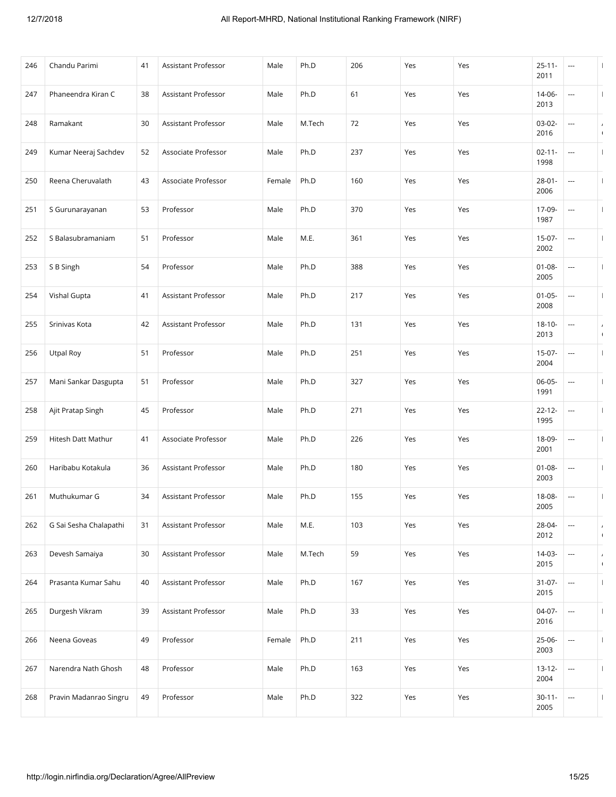| 246 | Chandu Parimi          | 41 | <b>Assistant Professor</b> | Male   | Ph.D   | 206 | Yes | Yes | $25 - 11 -$<br>2011 | ---                     | $\mathbf{I}$                 |
|-----|------------------------|----|----------------------------|--------|--------|-----|-----|-----|---------------------|-------------------------|------------------------------|
| 247 | Phaneendra Kiran C     | 38 | <b>Assistant Professor</b> | Male   | Ph.D   | 61  | Yes | Yes | 14-06-<br>2013      | ---                     | $\mathbf{I}$                 |
| 248 | Ramakant               | 30 | Assistant Professor        | Male   | M.Tech | 72  | Yes | Yes | 03-02-<br>2016      | ---                     | $\prime$<br>$\sqrt{ }$       |
| 249 | Kumar Neeraj Sachdev   | 52 | Associate Professor        | Male   | Ph.D   | 237 | Yes | Yes | $02 - 11 -$<br>1998 |                         | $\mathbf{I}$                 |
| 250 | Reena Cheruvalath      | 43 | Associate Professor        | Female | Ph.D   | 160 | Yes | Yes | $28 - 01 -$<br>2006 | ---                     | $\mathbf{I}$                 |
| 251 | S Gurunarayanan        | 53 | Professor                  | Male   | Ph.D   | 370 | Yes | Yes | 17-09-<br>1987      | ---                     |                              |
| 252 | S Balasubramaniam      | 51 | Professor                  | Male   | M.E.   | 361 | Yes | Yes | $15-07-$<br>2002    | ---                     | $\mathbf{I}$                 |
| 253 | S B Singh              | 54 | Professor                  | Male   | Ph.D   | 388 | Yes | Yes | $01 - 08 -$<br>2005 | ---                     |                              |
| 254 | Vishal Gupta           | 41 | Assistant Professor        | Male   | Ph.D   | 217 | Yes | Yes | $01 - 05 -$<br>2008 |                         | $\mathbf{I}$                 |
| 255 | Srinivas Kota          | 42 | Assistant Professor        | Male   | Ph.D   | 131 | Yes | Yes | $18 - 10 -$<br>2013 | ---                     | $\prime$<br>$\sqrt{2}$       |
| 256 | Utpal Roy              | 51 | Professor                  | Male   | Ph.D   | 251 | Yes | Yes | $15-07-$<br>2004    | ---                     |                              |
| 257 | Mani Sankar Dasgupta   | 51 | Professor                  | Male   | Ph.D   | 327 | Yes | Yes | 06-05-<br>1991      |                         |                              |
| 258 | Ajit Pratap Singh      | 45 | Professor                  | Male   | Ph.D   | 271 | Yes | Yes | $22 - 12 -$<br>1995 | $\sim$                  | $\mathbf{I}$                 |
| 259 | Hitesh Datt Mathur     | 41 | Associate Professor        | Male   | Ph.D   | 226 | Yes | Yes | 18-09-<br>2001      | ---                     |                              |
| 260 | Haribabu Kotakula      | 36 | Assistant Professor        | Male   | Ph.D   | 180 | Yes | Yes | $01 - 08 -$<br>2003 | ---                     |                              |
| 261 | Muthukumar G           | 34 | Assistant Professor        | Male   | Ph.D   | 155 | Yes | Yes | 18-08-<br>2005      | ---                     | $\overline{1}$               |
| 262 | G Sai Sesha Chalapathi | 31 | Assistant Professor        | Male   | M.E.   | 103 | Yes | Yes | 28-04-<br>2012      |                         | $\prime$<br>$\sqrt{ }$       |
| 263 | Devesh Samaiya         | 30 | Assistant Professor        | Male   | M.Tech | 59  | Yes | Yes | $14-03-$<br>2015    | ---                     | $\overline{ }$<br>$\sqrt{ }$ |
| 264 | Prasanta Kumar Sahu    | 40 | Assistant Professor        | Male   | Ph.D   | 167 | Yes | Yes | $31-07-$<br>2015    | ---                     | $\mathbf{I}$                 |
| 265 | Durgesh Vikram         | 39 | Assistant Professor        | Male   | Ph.D   | 33  | Yes | Yes | 04-07-<br>2016      | ---                     | $\mathbf{I}$                 |
| 266 | Neena Goveas           | 49 | Professor                  | Female | Ph.D   | 211 | Yes | Yes | 25-06-<br>2003      | $\hspace{0.05cm}\ldots$ | $\mathbf{I}$                 |
| 267 | Narendra Nath Ghosh    | 48 | Professor                  | Male   | Ph.D   | 163 | Yes | Yes | $13 - 12 -$<br>2004 | ---                     | $\mathbf{I}$                 |
| 268 | Pravin Madanrao Singru | 49 | Professor                  | Male   | Ph.D   | 322 | Yes | Yes | $30 - 11 -$<br>2005 | ---                     |                              |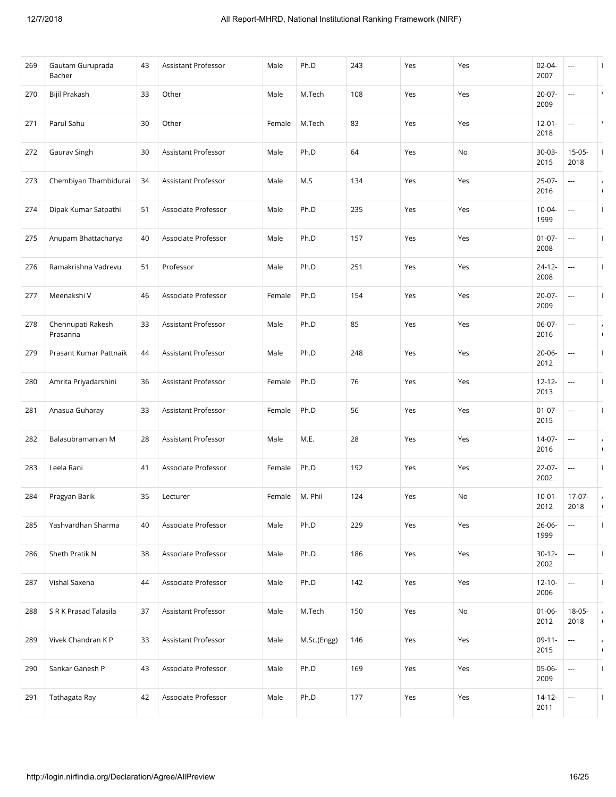| 270<br>Bijil Prakash<br>33<br>Other<br>Male<br>M.Tech<br>108<br>Yes<br>20-07-<br>Yes<br>$\overline{\phantom{a}}$<br>2009<br>30<br>83<br>271<br>Parul Sahu<br>Other<br>M.Tech<br>Yes<br>Yes<br>$12 - 01 -$<br>Female<br>$\overline{\phantom{a}}$<br>2018<br>Ph.D<br>Gaurav Singh<br>30<br>Assistant Professor<br>Male<br>64<br>Yes<br>30-03-<br>272<br>No<br>2015<br><b>Assistant Professor</b><br>134<br>273<br>Chembiyan Thambidurai<br>34<br>Male<br>M.S<br>Yes<br>25-07-<br>Yes<br>$\overline{\phantom{a}}$<br>2016<br>Ph.D<br>235<br>274<br>Dipak Kumar Satpathi<br>51<br>Associate Professor<br>Male<br>Yes<br>10-04-<br>Yes<br>---<br>1999<br>Anupam Bhattacharya<br>Ph.D<br>157<br>275<br>40<br>Associate Professor<br>Male<br>Yes<br>$01 - 07 -$<br>Yes<br>---<br>2008<br>Professor<br>Ph.D<br>251<br>$24 - 12 -$<br>276<br>Ramakrishna Vadrevu<br>51<br>Male<br>Yes<br>Yes<br>---<br>2008<br>46<br>Associate Professor<br>Ph.D<br>154<br>$20-07-$<br>277<br>Meenakshi V<br>Female<br>Yes<br>Yes<br>---<br>2009<br>Chennupati Rakesh<br>33<br><b>Assistant Professor</b><br>Ph.D<br>85<br>06-07-<br>278<br>Male<br>Yes<br>Yes<br>---<br>2016<br>Prasanna<br>Assistant Professor<br>Ph.D<br>248<br>279<br>Prasant Kumar Pattnaik<br>44<br>Male<br>Yes<br>20-06-<br>Yes<br>---<br>2012<br>Assistant Professor<br>Ph.D<br>76<br>280<br>Amrita Priyadarshini<br>36<br>Female<br>Yes<br>$12 - 12 -$<br>Yes<br>---<br>2013<br>Assistant Professor<br>Ph.D<br>56<br>Yes<br>$01-07-$<br>281<br>Anasua Guharay<br>33<br>Female<br>Yes<br>$\hspace{0.05cm} \ldots$<br>2015<br>28<br>Assistant Professor<br>M.E.<br>28<br>282<br>Balasubramanian M<br>Male<br>Yes<br>$14-07-$<br>Yes<br>$\overline{\phantom{a}}$<br>2016<br>Leela Rani<br>Associate Professor<br>Ph.D<br>192<br>283<br>41<br>Yes<br>22-07-<br>Female<br>Yes<br>---<br>2002<br>35<br>M. Phil<br>124<br>$10-01-$<br>284<br>Pragyan Barik<br>Yes<br>No<br>Lecturer<br>Female<br>2012<br>Ph.D<br>229<br>285<br>Yashvardhan Sharma<br>40<br>Associate Professor<br>Male<br>Yes<br>Yes<br>$26 - 06 -$<br>$\overline{\phantom{a}}$<br>1999<br>Sheth Pratik N<br>38<br>Associate Professor<br>Ph.D<br>186<br>286<br>Male<br>Yes<br>$30 - 12 -$<br>Yes<br>$\overline{\phantom{a}}$<br>2002<br>Vishal Saxena<br>Associate Professor<br>Ph.D<br>287<br>44<br>Male<br>142<br>Yes<br>$12 - 10 -$<br>Yes<br>$\overline{\phantom{a}}$<br>2006<br>S R K Prasad Talasila<br>150<br>288<br>37<br>Assistant Professor<br>Male<br>M.Tech<br>Yes<br>$01 - 06 -$<br>No<br>2012<br>Vivek Chandran K P<br>Assistant Professor<br>$09 - 11 -$<br>289<br>33<br>Male<br>M.Sc.(Engg)<br>146<br>Yes<br>Yes<br>---<br>2015<br>Sankar Ganesh P<br>Associate Professor<br>Ph.D<br>169<br>290<br>43<br>Male<br>Yes<br>$05-06-$<br>Yes<br>$\overline{\phantom{a}}$<br>2009<br>Ph.D<br>177<br>291<br>Tathagata Ray<br>42<br>Associate Professor<br>Male<br>Yes<br>Yes<br>14-12-<br>---<br>2011 | 269 | Gautam Guruprada<br>Bacher | 43 | Assistant Professor | Male | Ph.D | 243 | Yes | Yes | 02-04-<br>2007 | ---              |                              |
|--------------------------------------------------------------------------------------------------------------------------------------------------------------------------------------------------------------------------------------------------------------------------------------------------------------------------------------------------------------------------------------------------------------------------------------------------------------------------------------------------------------------------------------------------------------------------------------------------------------------------------------------------------------------------------------------------------------------------------------------------------------------------------------------------------------------------------------------------------------------------------------------------------------------------------------------------------------------------------------------------------------------------------------------------------------------------------------------------------------------------------------------------------------------------------------------------------------------------------------------------------------------------------------------------------------------------------------------------------------------------------------------------------------------------------------------------------------------------------------------------------------------------------------------------------------------------------------------------------------------------------------------------------------------------------------------------------------------------------------------------------------------------------------------------------------------------------------------------------------------------------------------------------------------------------------------------------------------------------------------------------------------------------------------------------------------------------------------------------------------------------------------------------------------------------------------------------------------------------------------------------------------------------------------------------------------------------------------------------------------------------------------------------------------------------------------------------------------------------------------------------------------------------------------------------------------------------------------------------------------------------------------------------------------------------------------------------------------------------------------------------------------------------------------------------------------------------------------------------------------------------------------------------------------------|-----|----------------------------|----|---------------------|------|------|-----|-----|-----|----------------|------------------|------------------------------|
|                                                                                                                                                                                                                                                                                                                                                                                                                                                                                                                                                                                                                                                                                                                                                                                                                                                                                                                                                                                                                                                                                                                                                                                                                                                                                                                                                                                                                                                                                                                                                                                                                                                                                                                                                                                                                                                                                                                                                                                                                                                                                                                                                                                                                                                                                                                                                                                                                                                                                                                                                                                                                                                                                                                                                                                                                                                                                                                          |     |                            |    |                     |      |      |     |     |     |                |                  |                              |
|                                                                                                                                                                                                                                                                                                                                                                                                                                                                                                                                                                                                                                                                                                                                                                                                                                                                                                                                                                                                                                                                                                                                                                                                                                                                                                                                                                                                                                                                                                                                                                                                                                                                                                                                                                                                                                                                                                                                                                                                                                                                                                                                                                                                                                                                                                                                                                                                                                                                                                                                                                                                                                                                                                                                                                                                                                                                                                                          |     |                            |    |                     |      |      |     |     |     |                |                  |                              |
|                                                                                                                                                                                                                                                                                                                                                                                                                                                                                                                                                                                                                                                                                                                                                                                                                                                                                                                                                                                                                                                                                                                                                                                                                                                                                                                                                                                                                                                                                                                                                                                                                                                                                                                                                                                                                                                                                                                                                                                                                                                                                                                                                                                                                                                                                                                                                                                                                                                                                                                                                                                                                                                                                                                                                                                                                                                                                                                          |     |                            |    |                     |      |      |     |     |     |                | $15-05-$<br>2018 | $\mathbf{I}$                 |
|                                                                                                                                                                                                                                                                                                                                                                                                                                                                                                                                                                                                                                                                                                                                                                                                                                                                                                                                                                                                                                                                                                                                                                                                                                                                                                                                                                                                                                                                                                                                                                                                                                                                                                                                                                                                                                                                                                                                                                                                                                                                                                                                                                                                                                                                                                                                                                                                                                                                                                                                                                                                                                                                                                                                                                                                                                                                                                                          |     |                            |    |                     |      |      |     |     |     |                |                  | $\prime$<br>$\sqrt{2}$       |
|                                                                                                                                                                                                                                                                                                                                                                                                                                                                                                                                                                                                                                                                                                                                                                                                                                                                                                                                                                                                                                                                                                                                                                                                                                                                                                                                                                                                                                                                                                                                                                                                                                                                                                                                                                                                                                                                                                                                                                                                                                                                                                                                                                                                                                                                                                                                                                                                                                                                                                                                                                                                                                                                                                                                                                                                                                                                                                                          |     |                            |    |                     |      |      |     |     |     |                |                  |                              |
|                                                                                                                                                                                                                                                                                                                                                                                                                                                                                                                                                                                                                                                                                                                                                                                                                                                                                                                                                                                                                                                                                                                                                                                                                                                                                                                                                                                                                                                                                                                                                                                                                                                                                                                                                                                                                                                                                                                                                                                                                                                                                                                                                                                                                                                                                                                                                                                                                                                                                                                                                                                                                                                                                                                                                                                                                                                                                                                          |     |                            |    |                     |      |      |     |     |     |                |                  | $\mathbf{I}$                 |
|                                                                                                                                                                                                                                                                                                                                                                                                                                                                                                                                                                                                                                                                                                                                                                                                                                                                                                                                                                                                                                                                                                                                                                                                                                                                                                                                                                                                                                                                                                                                                                                                                                                                                                                                                                                                                                                                                                                                                                                                                                                                                                                                                                                                                                                                                                                                                                                                                                                                                                                                                                                                                                                                                                                                                                                                                                                                                                                          |     |                            |    |                     |      |      |     |     |     |                |                  | $\overline{1}$               |
|                                                                                                                                                                                                                                                                                                                                                                                                                                                                                                                                                                                                                                                                                                                                                                                                                                                                                                                                                                                                                                                                                                                                                                                                                                                                                                                                                                                                                                                                                                                                                                                                                                                                                                                                                                                                                                                                                                                                                                                                                                                                                                                                                                                                                                                                                                                                                                                                                                                                                                                                                                                                                                                                                                                                                                                                                                                                                                                          |     |                            |    |                     |      |      |     |     |     |                |                  | $\mathbf{I}$                 |
|                                                                                                                                                                                                                                                                                                                                                                                                                                                                                                                                                                                                                                                                                                                                                                                                                                                                                                                                                                                                                                                                                                                                                                                                                                                                                                                                                                                                                                                                                                                                                                                                                                                                                                                                                                                                                                                                                                                                                                                                                                                                                                                                                                                                                                                                                                                                                                                                                                                                                                                                                                                                                                                                                                                                                                                                                                                                                                                          |     |                            |    |                     |      |      |     |     |     |                |                  | $\overline{ }$<br>$\sqrt{2}$ |
|                                                                                                                                                                                                                                                                                                                                                                                                                                                                                                                                                                                                                                                                                                                                                                                                                                                                                                                                                                                                                                                                                                                                                                                                                                                                                                                                                                                                                                                                                                                                                                                                                                                                                                                                                                                                                                                                                                                                                                                                                                                                                                                                                                                                                                                                                                                                                                                                                                                                                                                                                                                                                                                                                                                                                                                                                                                                                                                          |     |                            |    |                     |      |      |     |     |     |                |                  | H                            |
|                                                                                                                                                                                                                                                                                                                                                                                                                                                                                                                                                                                                                                                                                                                                                                                                                                                                                                                                                                                                                                                                                                                                                                                                                                                                                                                                                                                                                                                                                                                                                                                                                                                                                                                                                                                                                                                                                                                                                                                                                                                                                                                                                                                                                                                                                                                                                                                                                                                                                                                                                                                                                                                                                                                                                                                                                                                                                                                          |     |                            |    |                     |      |      |     |     |     |                |                  | H                            |
|                                                                                                                                                                                                                                                                                                                                                                                                                                                                                                                                                                                                                                                                                                                                                                                                                                                                                                                                                                                                                                                                                                                                                                                                                                                                                                                                                                                                                                                                                                                                                                                                                                                                                                                                                                                                                                                                                                                                                                                                                                                                                                                                                                                                                                                                                                                                                                                                                                                                                                                                                                                                                                                                                                                                                                                                                                                                                                                          |     |                            |    |                     |      |      |     |     |     |                |                  | $\mathbf{I}$                 |
|                                                                                                                                                                                                                                                                                                                                                                                                                                                                                                                                                                                                                                                                                                                                                                                                                                                                                                                                                                                                                                                                                                                                                                                                                                                                                                                                                                                                                                                                                                                                                                                                                                                                                                                                                                                                                                                                                                                                                                                                                                                                                                                                                                                                                                                                                                                                                                                                                                                                                                                                                                                                                                                                                                                                                                                                                                                                                                                          |     |                            |    |                     |      |      |     |     |     |                |                  | $\prime$<br>$\sqrt{2}$       |
|                                                                                                                                                                                                                                                                                                                                                                                                                                                                                                                                                                                                                                                                                                                                                                                                                                                                                                                                                                                                                                                                                                                                                                                                                                                                                                                                                                                                                                                                                                                                                                                                                                                                                                                                                                                                                                                                                                                                                                                                                                                                                                                                                                                                                                                                                                                                                                                                                                                                                                                                                                                                                                                                                                                                                                                                                                                                                                                          |     |                            |    |                     |      |      |     |     |     |                |                  |                              |
|                                                                                                                                                                                                                                                                                                                                                                                                                                                                                                                                                                                                                                                                                                                                                                                                                                                                                                                                                                                                                                                                                                                                                                                                                                                                                                                                                                                                                                                                                                                                                                                                                                                                                                                                                                                                                                                                                                                                                                                                                                                                                                                                                                                                                                                                                                                                                                                                                                                                                                                                                                                                                                                                                                                                                                                                                                                                                                                          |     |                            |    |                     |      |      |     |     |     |                | $17-07-$<br>2018 | $\prime$<br>$\sqrt{2}$       |
|                                                                                                                                                                                                                                                                                                                                                                                                                                                                                                                                                                                                                                                                                                                                                                                                                                                                                                                                                                                                                                                                                                                                                                                                                                                                                                                                                                                                                                                                                                                                                                                                                                                                                                                                                                                                                                                                                                                                                                                                                                                                                                                                                                                                                                                                                                                                                                                                                                                                                                                                                                                                                                                                                                                                                                                                                                                                                                                          |     |                            |    |                     |      |      |     |     |     |                |                  | $\mathbf{I}$                 |
|                                                                                                                                                                                                                                                                                                                                                                                                                                                                                                                                                                                                                                                                                                                                                                                                                                                                                                                                                                                                                                                                                                                                                                                                                                                                                                                                                                                                                                                                                                                                                                                                                                                                                                                                                                                                                                                                                                                                                                                                                                                                                                                                                                                                                                                                                                                                                                                                                                                                                                                                                                                                                                                                                                                                                                                                                                                                                                                          |     |                            |    |                     |      |      |     |     |     |                |                  |                              |
|                                                                                                                                                                                                                                                                                                                                                                                                                                                                                                                                                                                                                                                                                                                                                                                                                                                                                                                                                                                                                                                                                                                                                                                                                                                                                                                                                                                                                                                                                                                                                                                                                                                                                                                                                                                                                                                                                                                                                                                                                                                                                                                                                                                                                                                                                                                                                                                                                                                                                                                                                                                                                                                                                                                                                                                                                                                                                                                          |     |                            |    |                     |      |      |     |     |     |                |                  | $\mathbf{I}$                 |
|                                                                                                                                                                                                                                                                                                                                                                                                                                                                                                                                                                                                                                                                                                                                                                                                                                                                                                                                                                                                                                                                                                                                                                                                                                                                                                                                                                                                                                                                                                                                                                                                                                                                                                                                                                                                                                                                                                                                                                                                                                                                                                                                                                                                                                                                                                                                                                                                                                                                                                                                                                                                                                                                                                                                                                                                                                                                                                                          |     |                            |    |                     |      |      |     |     |     |                | $18-05-$<br>2018 | $\overline{ }$<br>$\sqrt{2}$ |
|                                                                                                                                                                                                                                                                                                                                                                                                                                                                                                                                                                                                                                                                                                                                                                                                                                                                                                                                                                                                                                                                                                                                                                                                                                                                                                                                                                                                                                                                                                                                                                                                                                                                                                                                                                                                                                                                                                                                                                                                                                                                                                                                                                                                                                                                                                                                                                                                                                                                                                                                                                                                                                                                                                                                                                                                                                                                                                                          |     |                            |    |                     |      |      |     |     |     |                |                  | $\overline{ }$<br>$\sqrt{ }$ |
|                                                                                                                                                                                                                                                                                                                                                                                                                                                                                                                                                                                                                                                                                                                                                                                                                                                                                                                                                                                                                                                                                                                                                                                                                                                                                                                                                                                                                                                                                                                                                                                                                                                                                                                                                                                                                                                                                                                                                                                                                                                                                                                                                                                                                                                                                                                                                                                                                                                                                                                                                                                                                                                                                                                                                                                                                                                                                                                          |     |                            |    |                     |      |      |     |     |     |                |                  | $\mathbf{I}$                 |
|                                                                                                                                                                                                                                                                                                                                                                                                                                                                                                                                                                                                                                                                                                                                                                                                                                                                                                                                                                                                                                                                                                                                                                                                                                                                                                                                                                                                                                                                                                                                                                                                                                                                                                                                                                                                                                                                                                                                                                                                                                                                                                                                                                                                                                                                                                                                                                                                                                                                                                                                                                                                                                                                                                                                                                                                                                                                                                                          |     |                            |    |                     |      |      |     |     |     |                |                  |                              |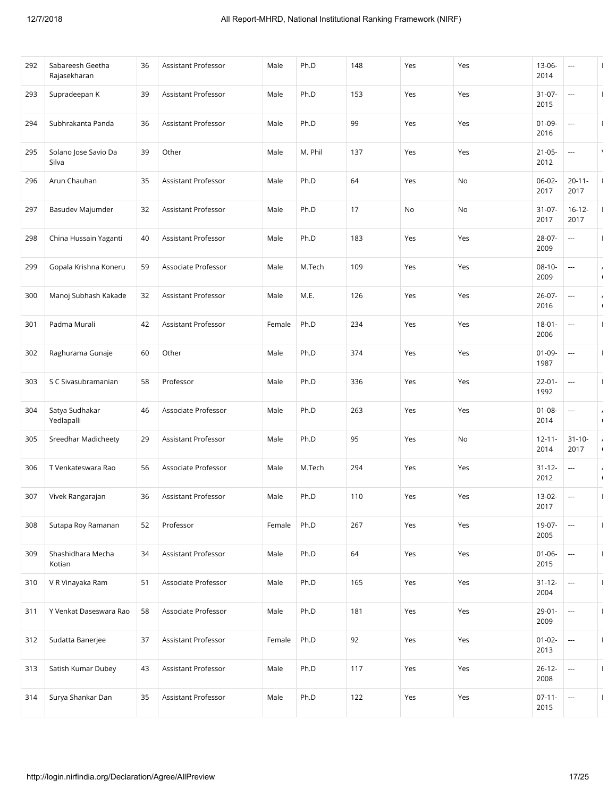| 292 | Sabareesh Geetha<br>Rajasekharan | 36 | Assistant Professor        | Male   | Ph.D    | 148 | Yes | Yes | $13 - 06 -$<br>2014 | ---                 | $\mathbf{I}$                 |
|-----|----------------------------------|----|----------------------------|--------|---------|-----|-----|-----|---------------------|---------------------|------------------------------|
| 293 | Supradeepan K                    | 39 | Assistant Professor        | Male   | Ph.D    | 153 | Yes | Yes | $31 - 07 -$<br>2015 | ---                 | H                            |
| 294 | Subhrakanta Panda                | 36 | Assistant Professor        | Male   | Ph.D    | 99  | Yes | Yes | $01-09-$<br>2016    | ---                 | -1                           |
| 295 | Solano Jose Savio Da<br>Silva    | 39 | Other                      | Male   | M. Phil | 137 | Yes | Yes | $21 - 05 -$<br>2012 | ---                 | $\lambda$                    |
| 296 | Arun Chauhan                     | 35 | <b>Assistant Professor</b> | Male   | Ph.D    | 64  | Yes | No  | $06-02-$<br>2017    | $20 - 11 -$<br>2017 | $\mathbf{I}$                 |
| 297 | Basudev Majumder                 | 32 | Assistant Professor        | Male   | Ph.D    | 17  | No  | No  | $31 - 07 -$<br>2017 | $16 - 12 -$<br>2017 | $\mathbf{I}$                 |
| 298 | China Hussain Yaganti            | 40 | Assistant Professor        | Male   | Ph.D    | 183 | Yes | Yes | 28-07-<br>2009      | ---                 | $\mathbf{I}$                 |
| 299 | Gopala Krishna Koneru            | 59 | Associate Professor        | Male   | M.Tech  | 109 | Yes | Yes | $08 - 10 -$<br>2009 | ---                 | $\prime$<br>$\sqrt{2}$       |
| 300 | Manoj Subhash Kakade             | 32 | Assistant Professor        | Male   | M.E.    | 126 | Yes | Yes | $26 - 07 -$<br>2016 |                     | $\lambda$<br>$\sqrt{ }$      |
| 301 | Padma Murali                     | 42 | Assistant Professor        | Female | Ph.D    | 234 | Yes | Yes | $18 - 01 -$<br>2006 |                     |                              |
| 302 | Raghurama Gunaje                 | 60 | Other                      | Male   | Ph.D    | 374 | Yes | Yes | $01-09-$<br>1987    | ---                 |                              |
| 303 | S C Sivasubramanian              | 58 | Professor                  | Male   | Ph.D    | 336 | Yes | Yes | $22 - 01 -$<br>1992 |                     |                              |
| 304 | Satya Sudhakar<br>Yedlapalli     | 46 | Associate Professor        | Male   | Ph.D    | 263 | Yes | Yes | $01 - 08 -$<br>2014 |                     | $\overline{ }$<br>$\sqrt{ }$ |
| 305 | Sreedhar Madicheety              | 29 | Assistant Professor        | Male   | Ph.D    | 95  | Yes | No  | $12 - 11 -$<br>2014 | $31 - 10 -$<br>2017 | $\prime$<br>$\sqrt{ }$       |
| 306 | T Venkateswara Rao               | 56 | Associate Professor        | Male   | M.Tech  | 294 | Yes | Yes | $31 - 12 -$<br>2012 | ---                 | $\overline{ }$<br>$\sqrt{2}$ |
| 307 | Vivek Rangarajan                 | 36 | <b>Assistant Professor</b> | Male   | Ph.D    | 110 | Yes | Yes | 13-02-<br>2017      | ---                 |                              |
| 308 | Sutapa Roy Ramanan               | 52 | Professor                  | Female | Ph.D    | 267 | Yes | Yes | 19-07-<br>2005      |                     | $\mathbf{I}$                 |
| 309 | Shashidhara Mecha<br>Kotian      | 34 | Assistant Professor        | Male   | Ph.D    | 64  | Yes | Yes | $01 - 06 -$<br>2015 | ---                 |                              |
| 310 | V R Vinayaka Ram                 | 51 | Associate Professor        | Male   | Ph.D    | 165 | Yes | Yes | $31 - 12 -$<br>2004 | ---                 | $\mathbf{I}$                 |
| 311 | Y Venkat Daseswara Rao           | 58 | Associate Professor        | Male   | Ph.D    | 181 | Yes | Yes | $29 - 01 -$<br>2009 |                     |                              |
| 312 | Sudatta Banerjee                 | 37 | Assistant Professor        | Female | Ph.D    | 92  | Yes | Yes | $01 - 02 -$<br>2013 | $\overline{a}$      | $\mathbf{I}$                 |
| 313 | Satish Kumar Dubey               | 43 | Assistant Professor        | Male   | Ph.D    | 117 | Yes | Yes | $26 - 12 -$<br>2008 | ---                 | $\mathbf{I}$                 |
| 314 | Surya Shankar Dan                | 35 | Assistant Professor        | Male   | Ph.D    | 122 | Yes | Yes | $07 - 11 -$<br>2015 | ---                 |                              |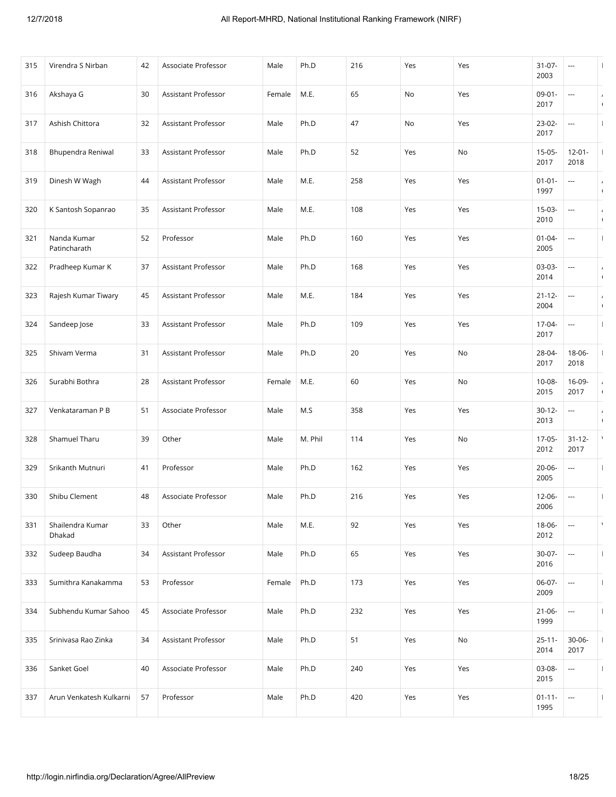| 315 | Virendra S Nirban           | 42 | Associate Professor | Male   | Ph.D    | 216 | Yes | Yes | $31-07-$<br>2003    | ---                      |                              |
|-----|-----------------------------|----|---------------------|--------|---------|-----|-----|-----|---------------------|--------------------------|------------------------------|
| 316 | Akshaya G                   | 30 | Assistant Professor | Female | M.E.    | 65  | No  | Yes | $09-01-$<br>2017    | ---                      | $\overline{ }$<br>$\sqrt{2}$ |
| 317 | Ashish Chittora             | 32 | Assistant Professor | Male   | Ph.D    | 47  | No  | Yes | 23-02-<br>2017      | ---                      |                              |
| 318 | Bhupendra Reniwal           | 33 | Assistant Professor | Male   | Ph.D    | 52  | Yes | No  | $15-05-$<br>2017    | $12 - 01 -$<br>2018      |                              |
| 319 | Dinesh W Wagh               | 44 | Assistant Professor | Male   | M.E.    | 258 | Yes | Yes | $01 - 01 -$<br>1997 | ---                      | $\overline{ }$<br>$\sqrt{ }$ |
| 320 | K Santosh Sopanrao          | 35 | Assistant Professor | Male   | M.E.    | 108 | Yes | Yes | $15-03-$<br>2010    | ---                      | $\prime$<br>$\sqrt{ }$       |
| 321 | Nanda Kumar<br>Patincharath | 52 | Professor           | Male   | Ph.D    | 160 | Yes | Yes | $01 - 04 -$<br>2005 |                          |                              |
| 322 | Pradheep Kumar K            | 37 | Assistant Professor | Male   | Ph.D    | 168 | Yes | Yes | 03-03-<br>2014      | ---                      | $\prime$<br>$\sqrt{2}$       |
| 323 | Rajesh Kumar Tiwary         | 45 | Assistant Professor | Male   | M.E.    | 184 | Yes | Yes | $21 - 12 -$<br>2004 | $\hspace{0.05cm} \ldots$ | $\prime$<br>$\sqrt{2}$       |
| 324 | Sandeep Jose                | 33 | Assistant Professor | Male   | Ph.D    | 109 | Yes | Yes | 17-04-<br>2017      | ---                      |                              |
| 325 | Shivam Verma                | 31 | Assistant Professor | Male   | Ph.D    | 20  | Yes | No  | 28-04-<br>2017      | 18-06-<br>2018           |                              |
| 326 | Surabhi Bothra              | 28 | Assistant Professor | Female | M.E.    | 60  | Yes | No  | $10 - 08 -$<br>2015 | 16-09-<br>2017           | $\sqrt{2}$                   |
| 327 | Venkataraman P B            | 51 | Associate Professor | Male   | M.S     | 358 | Yes | Yes | $30 - 12 -$<br>2013 | ---                      | $\prime$<br>$\sqrt{ }$       |
| 328 | Shamuel Tharu               | 39 | Other               | Male   | M. Phil | 114 | Yes | No  | 17-05-<br>2012      | $31 - 12 -$<br>2017      | $\lambda$                    |
| 329 | Srikanth Mutnuri            | 41 | Professor           | Male   | Ph.D    | 162 | Yes | Yes | 20-06-<br>2005      | ---                      | $\mathbf{I}$                 |
| 330 | Shibu Clement               | 48 | Associate Professor | Male   | Ph.D    | 216 | Yes | Yes | 12-06-<br>2006      | ---                      |                              |
| 331 | Shailendra Kumar<br>Dhakad  | 33 | Other               | Male   | M.E.    | 92  | Yes | Yes | 18-06-<br>2012      |                          | $\lambda$                    |
| 332 | Sudeep Baudha               | 34 | Assistant Professor | Male   | Ph.D    | 65  | Yes | Yes | 30-07-<br>2016      | $\ldots$                 |                              |
| 333 | Sumithra Kanakamma          | 53 | Professor           | Female | Ph.D    | 173 | Yes | Yes | 06-07-<br>2009      | ---                      | $\mathbf{I}$                 |
| 334 | Subhendu Kumar Sahoo        | 45 | Associate Professor | Male   | Ph.D    | 232 | Yes | Yes | $21 - 06 -$<br>1999 | $\hspace{0.05cm} \ldots$ |                              |
| 335 | Srinivasa Rao Zinka         | 34 | Assistant Professor | Male   | Ph.D    | 51  | Yes | No  | $25 - 11 -$<br>2014 | $30 - 06 -$<br>2017      |                              |
| 336 | Sanket Goel                 | 40 | Associate Professor | Male   | Ph.D    | 240 | Yes | Yes | 03-08-<br>2015      | ---                      | $\mathbf{I}$                 |
| 337 | Arun Venkatesh Kulkarni     | 57 | Professor           | Male   | Ph.D    | 420 | Yes | Yes | $01 - 11 -$<br>1995 | $\hspace{0.05cm} \ldots$ |                              |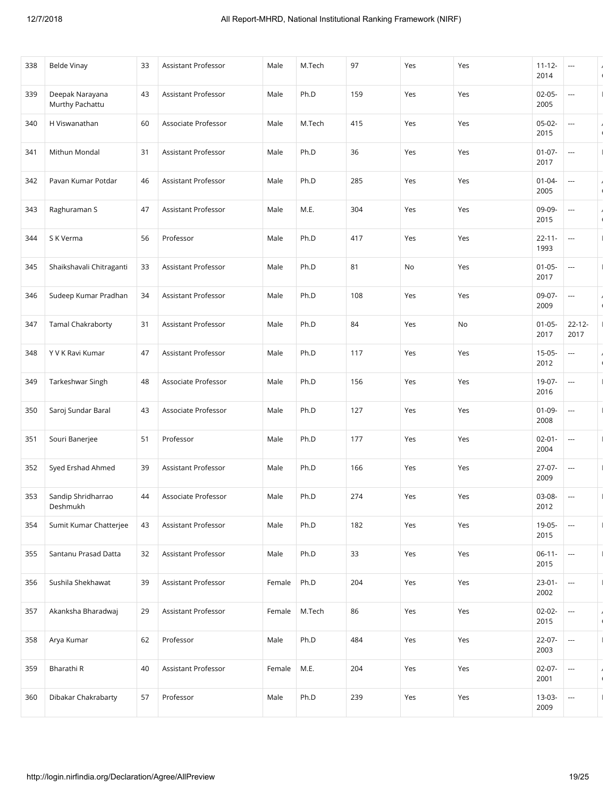| 338 | <b>Belde Vinay</b>                 | 33 | Assistant Professor        | Male   | M.Tech | 97  | Yes | Yes | $11 - 12 -$<br>2014 | $\hspace{0.05cm} \ldots$ | $\sqrt{ }$                   |
|-----|------------------------------------|----|----------------------------|--------|--------|-----|-----|-----|---------------------|--------------------------|------------------------------|
| 339 | Deepak Narayana<br>Murthy Pachattu | 43 | Assistant Professor        | Male   | Ph.D   | 159 | Yes | Yes | $02 - 05 -$<br>2005 | $\overline{\phantom{a}}$ |                              |
| 340 | H Viswanathan                      | 60 | Associate Professor        | Male   | M.Tech | 415 | Yes | Yes | 05-02-<br>2015      | ---                      | $\sqrt{2}$                   |
| 341 | Mithun Mondal                      | 31 | Assistant Professor        | Male   | Ph.D   | 36  | Yes | Yes | $01-07-$<br>2017    |                          | $\mathbf{I}$                 |
| 342 | Pavan Kumar Potdar                 | 46 | <b>Assistant Professor</b> | Male   | Ph.D   | 285 | Yes | Yes | $01 - 04 -$<br>2005 | $\overline{\phantom{a}}$ | $\prime$<br>$\sqrt{2}$       |
| 343 | Raghuraman S                       | 47 | Assistant Professor        | Male   | M.E.   | 304 | Yes | Yes | 09-09-<br>2015      | $\overline{\phantom{a}}$ | $\prime$<br>$\sqrt{2}$       |
| 344 | S K Verma                          | 56 | Professor                  | Male   | Ph.D   | 417 | Yes | Yes | $22 - 11 -$<br>1993 | ---                      |                              |
| 345 | Shaikshavali Chitraganti           | 33 | Assistant Professor        | Male   | Ph.D   | 81  | No  | Yes | $01 - 05 -$<br>2017 | $\overline{\phantom{a}}$ |                              |
| 346 | Sudeep Kumar Pradhan               | 34 | Assistant Professor        | Male   | Ph.D   | 108 | Yes | Yes | 09-07-<br>2009      | $\overline{\phantom{a}}$ | $\overline{ }$<br>$\sqrt{2}$ |
| 347 | <b>Tamal Chakraborty</b>           | 31 | Assistant Professor        | Male   | Ph.D   | 84  | Yes | No  | $01 - 05 -$<br>2017 | $22 - 12 -$<br>2017      | $\mathbf{I}$                 |
| 348 | Y V K Ravi Kumar                   | 47 | Assistant Professor        | Male   | Ph.D   | 117 | Yes | Yes | $15-05-$<br>2012    | ---                      | $\prime$<br>$\sqrt{2}$       |
| 349 | Tarkeshwar Singh                   | 48 | Associate Professor        | Male   | Ph.D   | 156 | Yes | Yes | 19-07-<br>2016      | ---                      |                              |
| 350 | Saroj Sundar Baral                 | 43 | Associate Professor        | Male   | Ph.D   | 127 | Yes | Yes | $01 - 09 -$<br>2008 | $\cdots$                 | $\mathbf{I}$                 |
| 351 | Souri Banerjee                     | 51 | Professor                  | Male   | Ph.D   | 177 | Yes | Yes | $02 - 01 -$<br>2004 | $\overline{\phantom{a}}$ |                              |
| 352 | Syed Ershad Ahmed                  | 39 | <b>Assistant Professor</b> | Male   | Ph.D   | 166 | Yes | Yes | 27-07-<br>2009      | ---                      | $\overline{1}$               |
| 353 | Sandip Shridharrao<br>Deshmukh     | 44 | Associate Professor        | Male   | Ph.D   | 274 | Yes | Yes | 03-08-<br>2012      | $\overline{\phantom{a}}$ | $\mathbf{I}$                 |
| 354 | Sumit Kumar Chatterjee             | 43 | Assistant Professor        | Male   | Ph.D   | 182 | Yes | Yes | 19-05-<br>2015      | $\overline{\phantom{a}}$ | $\mathbf{I}$                 |
| 355 | Santanu Prasad Datta               | 32 | Assistant Professor        | Male   | Ph.D   | 33  | Yes | Yes | $06-11-$<br>2015    | $\overline{\phantom{a}}$ |                              |
| 356 | Sushila Shekhawat                  | 39 | Assistant Professor        | Female | Ph.D   | 204 | Yes | Yes | $23 - 01 -$<br>2002 | $\overline{\phantom{a}}$ | $\mathbf{I}$                 |
| 357 | Akanksha Bharadwaj                 | 29 | Assistant Professor        | Female | M.Tech | 86  | Yes | Yes | $02 - 02 -$<br>2015 | ---                      | $\prime$<br>$\sqrt{2}$       |
| 358 | Arya Kumar                         | 62 | Professor                  | Male   | Ph.D   | 484 | Yes | Yes | $22-07-$<br>2003    | ---                      | $\mathbf{I}$                 |
| 359 | Bharathi R                         | 40 | Assistant Professor        | Female | M.E.   | 204 | Yes | Yes | $02 - 07 -$<br>2001 | $\overline{\phantom{a}}$ | $\overline{ }$<br>$\sqrt{2}$ |
| 360 | Dibakar Chakrabarty                | 57 | Professor                  | Male   | Ph.D   | 239 | Yes | Yes | 13-03-<br>2009      | $\overline{\phantom{a}}$ | $\mathbf{I}$                 |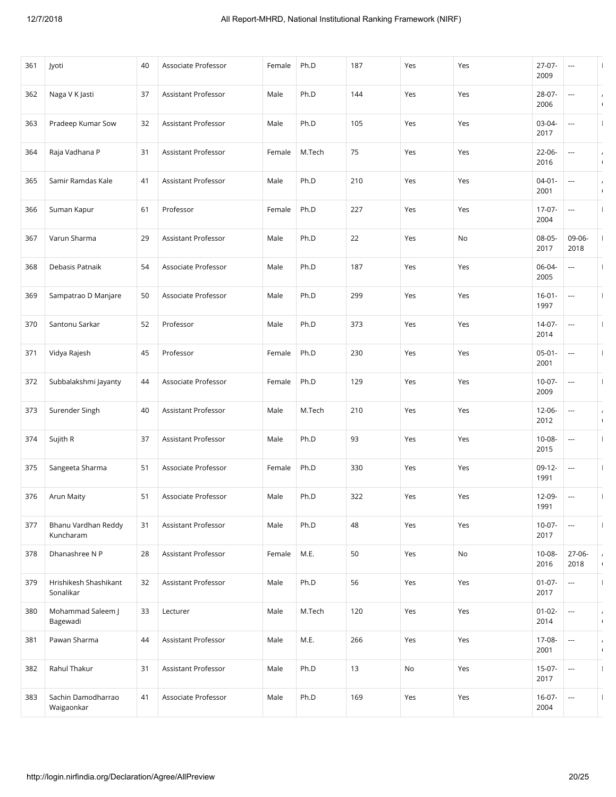| 361 | Jyoti                              | 40 | Associate Professor        | Female | Ph.D   | 187 | Yes | Yes | $27-07-$<br>2009    | ---                      |                              |
|-----|------------------------------------|----|----------------------------|--------|--------|-----|-----|-----|---------------------|--------------------------|------------------------------|
| 362 | Naga V K Jasti                     | 37 | <b>Assistant Professor</b> | Male   | Ph.D   | 144 | Yes | Yes | 28-07-<br>2006      |                          | $\overline{ }$<br>$\sqrt{2}$ |
| 363 | Pradeep Kumar Sow                  | 32 | Assistant Professor        | Male   | Ph.D   | 105 | Yes | Yes | 03-04-<br>2017      | ---                      |                              |
| 364 | Raja Vadhana P                     | 31 | Assistant Professor        | Female | M.Tech | 75  | Yes | Yes | $22 - 06 -$<br>2016 |                          | $\prime$<br>$\sqrt{2}$       |
| 365 | Samir Ramdas Kale                  | 41 | Assistant Professor        | Male   | Ph.D   | 210 | Yes | Yes | $04 - 01 -$<br>2001 |                          | $\overline{ }$<br>$\sqrt{ }$ |
| 366 | Suman Kapur                        | 61 | Professor                  | Female | Ph.D   | 227 | Yes | Yes | $17-07-$<br>2004    | ---                      |                              |
| 367 | Varun Sharma                       | 29 | Assistant Professor        | Male   | Ph.D   | 22  | Yes | No  | $08-05-$<br>2017    | 09-06-<br>2018           |                              |
| 368 | Debasis Patnaik                    | 54 | Associate Professor        | Male   | Ph.D   | 187 | Yes | Yes | 06-04-<br>2005      | ---                      |                              |
| 369 | Sampatrao D Manjare                | 50 | Associate Professor        | Male   | Ph.D   | 299 | Yes | Yes | $16 - 01 -$<br>1997 | $\hspace{0.05cm} \ldots$ |                              |
| 370 | Santonu Sarkar                     | 52 | Professor                  | Male   | Ph.D   | 373 | Yes | Yes | $14-07-$<br>2014    | ---                      |                              |
| 371 | Vidya Rajesh                       | 45 | Professor                  | Female | Ph.D   | 230 | Yes | Yes | $05-01-$<br>2001    | ---                      |                              |
| 372 | Subbalakshmi Jayanty               | 44 | Associate Professor        | Female | Ph.D   | 129 | Yes | Yes | $10-07-$<br>2009    | ---                      |                              |
| 373 | Surender Singh                     | 40 | Assistant Professor        | Male   | M.Tech | 210 | Yes | Yes | $12 - 06 -$<br>2012 | $\hspace{0.05cm} \ldots$ | $\prime$<br>$\sqrt{ }$       |
| 374 | Sujith R                           | 37 | Assistant Professor        | Male   | Ph.D   | 93  | Yes | Yes | 10-08-<br>2015      | ---                      |                              |
| 375 | Sangeeta Sharma                    | 51 | Associate Professor        | Female | Ph.D   | 330 | Yes | Yes | $09-12-$<br>1991    | ---                      | $\mathbf{I}$                 |
| 376 | Arun Maity                         | 51 | Associate Professor        | Male   | Ph.D   | 322 | Yes | Yes | 12-09-<br>1991      | ---                      |                              |
| 377 | Bhanu Vardhan Reddy<br>Kuncharam   | 31 | Assistant Professor        | Male   | Ph.D   | 48  | Yes | Yes | $10-07-$<br>2017    | ---                      | $\mathbf{I}$                 |
| 378 | Dhanashree N P                     | 28 | Assistant Professor        | Female | M.E.   | 50  | Yes | No  | $10 - 08 -$<br>2016 | 27-06-<br>2018           | $\prime$<br>$\sqrt{2}$       |
| 379 | Hrishikesh Shashikant<br>Sonalikar | 32 | Assistant Professor        | Male   | Ph.D   | 56  | Yes | Yes | $01-07-$<br>2017    | ---                      | $\mathbf{I}$                 |
| 380 | Mohammad Saleem J<br>Bagewadi      | 33 | Lecturer                   | Male   | M.Tech | 120 | Yes | Yes | $01 - 02 -$<br>2014 | $\hspace{0.05cm} \ldots$ | $\prime$<br>$\sqrt{2}$       |
| 381 | Pawan Sharma                       | 44 | Assistant Professor        | Male   | M.E.   | 266 | Yes | Yes | 17-08-<br>2001      | $\overline{\phantom{a}}$ | $\prime$<br>$\sqrt{2}$       |
| 382 | Rahul Thakur                       | 31 | Assistant Professor        | Male   | Ph.D   | 13  | No  | Yes | $15-07-$<br>2017    | $\hspace{0.05cm} \ldots$ | $\mathbf{I}$                 |
| 383 | Sachin Damodharrao<br>Waigaonkar   | 41 | Associate Professor        | Male   | Ph.D   | 169 | Yes | Yes | $16-07-$<br>2004    | $\hspace{0.05cm} \ldots$ | $\mathbf{I}$                 |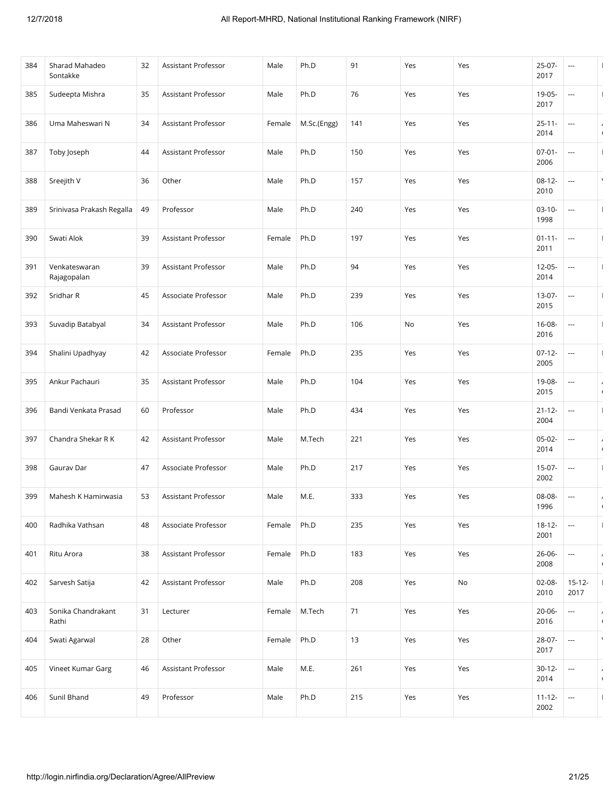| 384 | Sharad Mahadeo<br>Sontakke   | 32 | Assistant Professor | Male   | Ph.D        | 91  | Yes | Yes | 25-07-<br>2017      | ---                      |                              |
|-----|------------------------------|----|---------------------|--------|-------------|-----|-----|-----|---------------------|--------------------------|------------------------------|
| 385 | Sudeepta Mishra              | 35 | Assistant Professor | Male   | Ph.D        | 76  | Yes | Yes | 19-05-<br>2017      | ---                      |                              |
| 386 | Uma Maheswari N              | 34 | Assistant Professor | Female | M.Sc.(Engg) | 141 | Yes | Yes | $25 - 11 -$<br>2014 | ---                      | $\sqrt{2}$                   |
| 387 | Toby Joseph                  | 44 | Assistant Professor | Male   | Ph.D        | 150 | Yes | Yes | $07 - 01 -$<br>2006 |                          | $\mathbf{I}$                 |
| 388 | Sreejith V                   | 36 | Other               | Male   | Ph.D        | 157 | Yes | Yes | $08 - 12 -$<br>2010 | $\hspace{0.05cm} \ldots$ | $\lambda$                    |
| 389 | Srinivasa Prakash Regalla    | 49 | Professor           | Male   | Ph.D        | 240 | Yes | Yes | $03-10-$<br>1998    | ---                      |                              |
| 390 | Swati Alok                   | 39 | Assistant Professor | Female | Ph.D        | 197 | Yes | Yes | $01 - 11 -$<br>2011 | ---                      |                              |
| 391 | Venkateswaran<br>Rajagopalan | 39 | Assistant Professor | Male   | Ph.D        | 94  | Yes | Yes | $12 - 05 -$<br>2014 |                          |                              |
| 392 | Sridhar R                    | 45 | Associate Professor | Male   | Ph.D        | 239 | Yes | Yes | 13-07-<br>2015      | $\hspace{0.05cm} \ldots$ | $\mathbf{I}$                 |
| 393 | Suvadip Batabyal             | 34 | Assistant Professor | Male   | Ph.D        | 106 | No  | Yes | $16 - 08 -$<br>2016 | ---                      |                              |
| 394 | Shalini Upadhyay             | 42 | Associate Professor | Female | Ph.D        | 235 | Yes | Yes | $07-12-$<br>2005    | $\cdots$                 | $\mathbf{I}$                 |
| 395 | Ankur Pachauri               | 35 | Assistant Professor | Male   | Ph.D        | 104 | Yes | Yes | 19-08-<br>2015      | ---                      | $\prime$<br>$\sqrt{2}$       |
| 396 | Bandi Venkata Prasad         | 60 | Professor           | Male   | Ph.D        | 434 | Yes | Yes | $21 - 12 -$<br>2004 | $\cdots$                 | $\mathbf{I}$                 |
| 397 | Chandra Shekar R K           | 42 | Assistant Professor | Male   | M.Tech      | 221 | Yes | Yes | $05-02-$<br>2014    | ---                      | $\prime$<br>$\sqrt{2}$       |
| 398 | Gaurav Dar                   | 47 | Associate Professor | Male   | Ph.D        | 217 | Yes | Yes | 15-07-<br>2002      | ---                      |                              |
| 399 | Mahesh K Hamirwasia          | 53 | Assistant Professor | Male   | M.E.        | 333 | Yes | Yes | 08-08-<br>1996      | ---                      | $\overline{ }$<br>$\sqrt{2}$ |
| 400 | Radhika Vathsan              | 48 | Associate Professor | Female | Ph.D        | 235 | Yes | Yes | $18 - 12 -$<br>2001 | $\sim$                   | $\mathbf{I}$                 |
| 401 | Ritu Arora                   | 38 | Assistant Professor | Female | Ph.D        | 183 | Yes | Yes | 26-06-<br>2008      | ---                      | $\prime$<br>$\sqrt{2}$       |
| 402 | Sarvesh Satija               | 42 | Assistant Professor | Male   | Ph.D        | 208 | Yes | No  | $02 - 08 -$<br>2010 | $15 - 12 -$<br>2017      | $\mathbf{I}$                 |
| 403 | Sonika Chandrakant<br>Rathi  | 31 | Lecturer            | Female | M.Tech      | 71  | Yes | Yes | $20 - 06 -$<br>2016 | ---                      | $\prime$<br>$\sqrt{2}$       |
| 404 | Swati Agarwal                | 28 | Other               | Female | Ph.D        | 13  | Yes | Yes | 28-07-<br>2017      | $\hspace{0.05cm} \ldots$ | $\lambda$                    |
| 405 | Vineet Kumar Garg            | 46 | Assistant Professor | Male   | M.E.        | 261 | Yes | Yes | $30 - 12 -$<br>2014 | ---                      | $\prime$<br>$\sqrt{2}$       |
| 406 | Sunil Bhand                  | 49 | Professor           | Male   | Ph.D        | 215 | Yes | Yes | $11 - 12 -$<br>2002 | ---                      |                              |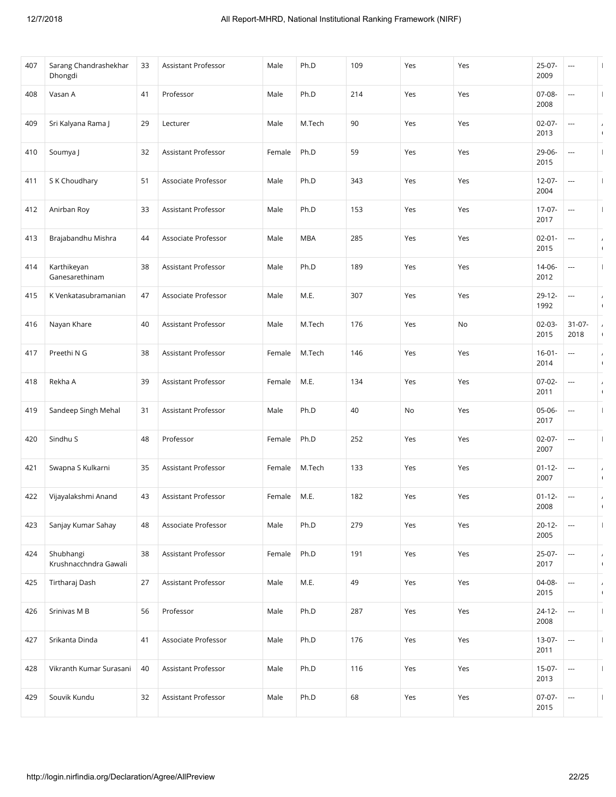| 407 | Sarang Chandrashekhar<br>Dhongdi   | 33 | Assistant Professor        | Male   | Ph.D       | 109 | Yes | Yes | $25-07-$<br>2009    | ---                      |                              |
|-----|------------------------------------|----|----------------------------|--------|------------|-----|-----|-----|---------------------|--------------------------|------------------------------|
| 408 | Vasan A                            | 41 | Professor                  | Male   | Ph.D       | 214 | Yes | Yes | 07-08-<br>2008      | $\overline{\phantom{a}}$ |                              |
| 409 | Sri Kalyana Rama J                 | 29 | Lecturer                   | Male   | M.Tech     | 90  | Yes | Yes | $02 - 07 -$<br>2013 | ---                      | $\sqrt{2}$                   |
| 410 | Soumya J                           | 32 | Assistant Professor        | Female | Ph.D       | 59  | Yes | Yes | 29-06-<br>2015      |                          | $\mathbf{I}$                 |
| 411 | S K Choudhary                      | 51 | Associate Professor        | Male   | Ph.D       | 343 | Yes | Yes | $12 - 07 -$<br>2004 | $\overline{\phantom{a}}$ | $\mathbf{I}$                 |
| 412 | Anirban Roy                        | 33 | Assistant Professor        | Male   | Ph.D       | 153 | Yes | Yes | 17-07-<br>2017      | ---                      |                              |
| 413 | Brajabandhu Mishra                 | 44 | Associate Professor        | Male   | <b>MBA</b> | 285 | Yes | Yes | $02 - 01 -$<br>2015 | $\overline{\phantom{a}}$ | $\prime$<br>$\sqrt{2}$       |
| 414 | Karthikeyan<br>Ganesarethinam      | 38 | Assistant Professor        | Male   | Ph.D       | 189 | Yes | Yes | 14-06-<br>2012      | $\overline{\phantom{a}}$ |                              |
| 415 | K Venkatasubramanian               | 47 | Associate Professor        | Male   | M.E.       | 307 | Yes | Yes | $29-12-$<br>1992    | $\cdots$                 | $\prime$<br>$\sqrt{2}$       |
| 416 | Nayan Khare                        | 40 | Assistant Professor        | Male   | M.Tech     | 176 | Yes | No  | $02 - 03 -$<br>2015 | $31 - 07 -$<br>2018      | $\prime$<br>$\sqrt{2}$       |
| 417 | Preethi N G                        | 38 | Assistant Professor        | Female | M.Tech     | 146 | Yes | Yes | $16 - 01 -$<br>2014 | ---                      | $\prime$<br>$\sqrt{2}$       |
| 418 | Rekha A                            | 39 | Assistant Professor        | Female | M.E.       | 134 | Yes | Yes | $07-02-$<br>2011    | ---                      | $\prime$<br>$\sqrt{2}$       |
| 419 | Sandeep Singh Mehal                | 31 | Assistant Professor        | Male   | Ph.D       | 40  | No  | Yes | 05-06-<br>2017      | ---                      | $\mathbf{I}$                 |
| 420 | Sindhu S                           | 48 | Professor                  | Female | Ph.D       | 252 | Yes | Yes | $02 - 07 -$<br>2007 | $\overline{\phantom{a}}$ |                              |
| 421 | Swapna S Kulkarni                  | 35 | <b>Assistant Professor</b> | Female | M.Tech     | 133 | Yes | Yes | $01 - 12 -$<br>2007 | ---                      | $\overline{ }$<br>$\sqrt{2}$ |
| 422 | Vijayalakshmi Anand                | 43 | Assistant Professor        | Female | M.E.       | 182 | Yes | Yes | $01 - 12 -$<br>2008 | $\cdots$                 | $\overline{ }$               |
| 423 | Sanjay Kumar Sahay                 | 48 | Associate Professor        | Male   | Ph.D       | 279 | Yes | Yes | $20 - 12 -$<br>2005 | $\cdots$                 | $\mathbf{I}$                 |
| 424 | Shubhangi<br>Krushnacchndra Gawali | 38 | Assistant Professor        | Female | Ph.D       | 191 | Yes | Yes | $25-07-$<br>2017    | $\overline{\phantom{a}}$ | $\prime$<br>$\sqrt{2}$       |
| 425 | Tirtharaj Dash                     | 27 | Assistant Professor        | Male   | M.E.       | 49  | Yes | Yes | 04-08-<br>2015      | $\overline{\phantom{a}}$ | $\overline{ }$<br>$\sqrt{2}$ |
| 426 | Srinivas M B                       | 56 | Professor                  | Male   | Ph.D       | 287 | Yes | Yes | $24 - 12 -$<br>2008 | ---                      | $\overline{\phantom{a}}$     |
| 427 | Srikanta Dinda                     | 41 | Associate Professor        | Male   | Ph.D       | 176 | Yes | Yes | 13-07-<br>2011      | $\hspace{0.05cm} \ldots$ | $\mathbf{I}$                 |
| 428 | Vikranth Kumar Surasani            | 40 | Assistant Professor        | Male   | Ph.D       | 116 | Yes | Yes | $15-07-$<br>2013    | $\cdots$                 | $\mathbf{I}$                 |
| 429 | Souvik Kundu                       | 32 | Assistant Professor        | Male   | Ph.D       | 68  | Yes | Yes | $07-07-$<br>2015    | $\sim$                   | $\mathbf{I}$                 |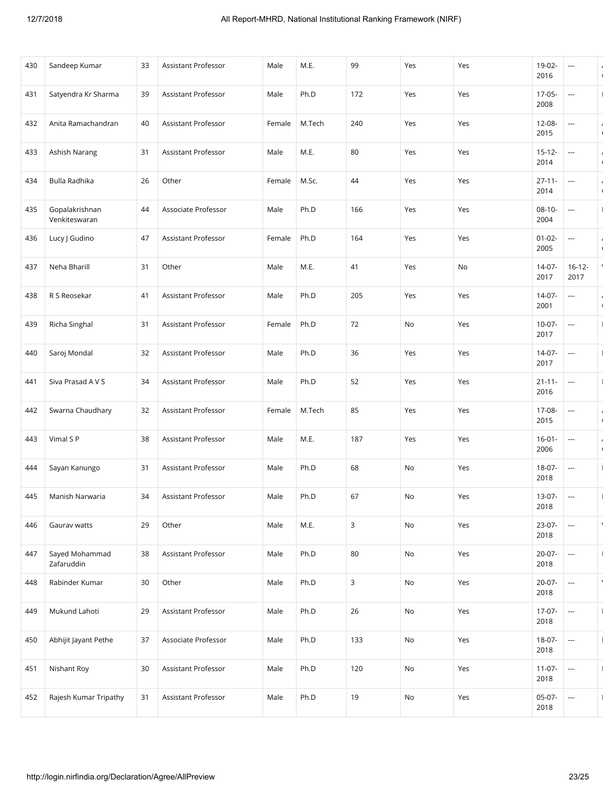| 430 | Sandeep Kumar                   | 33 | Assistant Professor | Male   | M.E.   | 99  | Yes | Yes | 19-02-<br>2016      | ---                      | $\prime$<br>$\sqrt{ }$       |
|-----|---------------------------------|----|---------------------|--------|--------|-----|-----|-----|---------------------|--------------------------|------------------------------|
| 431 | Satyendra Kr Sharma             | 39 | Assistant Professor | Male   | Ph.D   | 172 | Yes | Yes | $17-05-$<br>2008    | ---                      | $\overline{1}$               |
| 432 | Anita Ramachandran              | 40 | Assistant Professor | Female | M.Tech | 240 | Yes | Yes | 12-08-<br>2015      | ---                      | $\prime$<br>$\sqrt{ }$       |
| 433 | Ashish Narang                   | 31 | Assistant Professor | Male   | M.E.   | 80  | Yes | Yes | $15 - 12 -$<br>2014 |                          | $\overline{ }$<br>$\sqrt{2}$ |
| 434 | Bulla Radhika                   | 26 | Other               | Female | M.Sc.  | 44  | Yes | Yes | $27 - 11 -$<br>2014 | ---                      | $\lambda$<br>$\sqrt{ }$      |
| 435 | Gopalakrishnan<br>Venkiteswaran | 44 | Associate Professor | Male   | Ph.D   | 166 | Yes | Yes | $08 - 10 -$<br>2004 | ---                      |                              |
| 436 | Lucy J Gudino                   | 47 | Assistant Professor | Female | Ph.D   | 164 | Yes | Yes | $01 - 02 -$<br>2005 | ---                      | $\prime$<br>$\sqrt{2}$       |
| 437 | Neha Bharill                    | 31 | Other               | Male   | M.E.   | 41  | Yes | No  | 14-07-<br>2017      | $16 - 12 -$<br>2017      |                              |
| 438 | R S Reosekar                    | 41 | Assistant Professor | Male   | Ph.D   | 205 | Yes | Yes | $14-07-$<br>2001    | ---                      | $\sqrt{2}$                   |
| 439 | Richa Singhal                   | 31 | Assistant Professor | Female | Ph.D   | 72  | No  | Yes | $10-07-$<br>2017    | ---                      |                              |
| 440 | Saroj Mondal                    | 32 | Assistant Professor | Male   | Ph.D   | 36  | Yes | Yes | 14-07-<br>2017      | ---                      |                              |
| 441 | Siva Prasad A V S               | 34 | Assistant Professor | Male   | Ph.D   | 52  | Yes | Yes | $21 - 11 -$<br>2016 | ---                      | $\mathbf{I}$                 |
| 442 | Swarna Chaudhary                | 32 | Assistant Professor | Female | M.Tech | 85  | Yes | Yes | 17-08-<br>2015      | $\hspace{0.05cm} \ldots$ | $\prime$<br>$\sqrt{ }$       |
| 443 | Vimal S P                       | 38 | Assistant Professor | Male   | M.E.   | 187 | Yes | Yes | $16 - 01 -$<br>2006 | $\hspace{0.05cm} \ldots$ | $\prime$<br>$\sqrt{2}$       |
| 444 | Sayan Kanungo                   | 31 | Assistant Professor | Male   | Ph.D   | 68  | No  | Yes | 18-07-<br>2018      | ---                      | $\mathbf{I}$                 |
| 445 | Manish Narwaria                 | 34 | Assistant Professor | Male   | Ph.D   | 67  | No  | Yes | $13-07-$<br>2018    | ---                      | $\overline{1}$               |
| 446 | Gaurav watts                    | 29 | Other               | Male   | M.E.   | 3   | No  | Yes | 23-07-<br>2018      |                          | $\lambda$                    |
| 447 | Sayed Mohammad<br>Zafaruddin    | 38 | Assistant Professor | Male   | Ph.D   | 80  | No  | Yes | $20-07-$<br>2018    | $\hspace{0.05cm} \ldots$ | $\mathbf{I}$                 |
| 448 | Rabinder Kumar                  | 30 | Other               | Male   | Ph.D   | 3   | No  | Yes | 20-07-<br>2018      | ---                      | $\lambda$                    |
| 449 | Mukund Lahoti                   | 29 | Assistant Professor | Male   | Ph.D   | 26  | No  | Yes | $17-07-$<br>2018    | $\hspace{0.05cm} \ldots$ | $\mathbf{I}$                 |
| 450 | Abhijit Jayant Pethe            | 37 | Associate Professor | Male   | Ph.D   | 133 | No  | Yes | 18-07-<br>2018      | $\overline{\phantom{a}}$ | $\mathbf{I}$                 |
| 451 | Nishant Roy                     | 30 | Assistant Professor | Male   | Ph.D   | 120 | No  | Yes | $11-07-$<br>2018    | $\hspace{0.05cm} \ldots$ | $\mathbf{I}$                 |
| 452 | Rajesh Kumar Tripathy           | 31 | Assistant Professor | Male   | Ph.D   | 19  | No  | Yes | $05-07-$<br>2018    | $\hspace{0.05cm} \ldots$ | $\mathbf{I}$                 |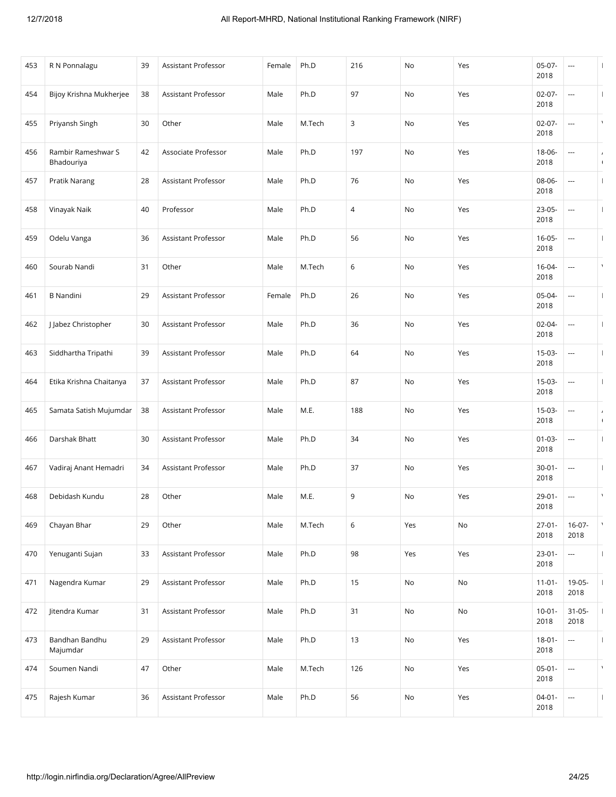| 453 | R N Ponnalagu                    | 39 | Assistant Professor        | Female | Ph.D   | 216 | No  | Yes | $05-07-$<br>2018    | ---                      |                              |
|-----|----------------------------------|----|----------------------------|--------|--------|-----|-----|-----|---------------------|--------------------------|------------------------------|
| 454 | Bijoy Krishna Mukherjee          | 38 | Assistant Professor        | Male   | Ph.D   | 97  | No  | Yes | $02 - 07 -$<br>2018 | ---                      |                              |
| 455 | Priyansh Singh                   | 30 | Other                      | Male   | M.Tech | 3   | No  | Yes | $02 - 07 -$<br>2018 | ---                      |                              |
| 456 | Rambir Rameshwar S<br>Bhadouriya | 42 | Associate Professor        | Male   | Ph.D   | 197 | No  | Yes | 18-06-<br>2018      |                          | $\sqrt{2}$                   |
| 457 | Pratik Narang                    | 28 | <b>Assistant Professor</b> | Male   | Ph.D   | 76  | No  | Yes | 08-06-<br>2018      | ---                      | $\mathbf{I}$                 |
| 458 | Vinayak Naik                     | 40 | Professor                  | Male   | Ph.D   | 4   | No  | Yes | 23-05-<br>2018      | ---                      |                              |
| 459 | Odelu Vanga                      | 36 | Assistant Professor        | Male   | Ph.D   | 56  | No  | Yes | $16 - 05 -$<br>2018 | ---                      |                              |
| 460 | Sourab Nandi                     | 31 | Other                      | Male   | M.Tech | 6   | No  | Yes | $16 - 04 -$<br>2018 | ---                      | $\lambda$                    |
| 461 | <b>B</b> Nandini                 | 29 | Assistant Professor        | Female | Ph.D   | 26  | No  | Yes | 05-04-<br>2018      | $\hspace{0.05cm} \ldots$ | $\mathbf{I}$                 |
| 462 | J Jabez Christopher              | 30 | Assistant Professor        | Male   | Ph.D   | 36  | No  | Yes | $02 - 04 -$<br>2018 | ---                      |                              |
| 463 | Siddhartha Tripathi              | 39 | Assistant Professor        | Male   | Ph.D   | 64  | No  | Yes | 15-03-<br>2018      | ---                      | $\mathbf{I}$                 |
| 464 | Etika Krishna Chaitanya          | 37 | Assistant Professor        | Male   | Ph.D   | 87  | No  | Yes | $15-03-$<br>2018    | ---                      | H                            |
| 465 | Samata Satish Mujumdar           | 38 | Assistant Professor        | Male   | M.E.   | 188 | No  | Yes | $15-03-$<br>2018    | ---                      | $\overline{ }$<br>$\sqrt{2}$ |
| 466 | Darshak Bhatt                    | 30 | Assistant Professor        | Male   | Ph.D   | 34  | No  | Yes | $01 - 03 -$<br>2018 | ---                      |                              |
| 467 | Vadiraj Anant Hemadri            | 34 | Assistant Professor        | Male   | Ph.D   | 37  | No  | Yes | $30 - 01 -$<br>2018 | ---                      | $\mathbf{I}$                 |
| 468 | Debidash Kundu                   | 28 | Other                      | Male   | M.E.   | 9   | No  | Yes | $29 - 01 -$<br>2018 | ---                      | $\lambda$                    |
| 469 | Chayan Bhar                      | 29 | Other                      | Male   | M.Tech | 6   | Yes | No  | $27 - 01 -$<br>2018 | $16-07-$<br>2018         | $\lambda$                    |
| 470 | Yenuganti Sujan                  | 33 | Assistant Professor        | Male   | Ph.D   | 98  | Yes | Yes | $23 - 01 -$<br>2018 | ---                      |                              |
| 471 | Nagendra Kumar                   | 29 | Assistant Professor        | Male   | Ph.D   | 15  | No  | No  | $11 - 01 -$<br>2018 | 19-05-<br>2018           |                              |
| 472 | litendra Kumar                   | 31 | Assistant Professor        | Male   | Ph.D   | 31  | No  | No  | $10 - 01 -$<br>2018 | $31 - 05 -$<br>2018      | $\mathbf{I}$                 |
| 473 | Bandhan Bandhu<br>Majumdar       | 29 | Assistant Professor        | Male   | Ph.D   | 13  | No  | Yes | $18 - 01 -$<br>2018 | ---                      | $\mathbf{I}$                 |
| 474 | Soumen Nandi                     | 47 | Other                      | Male   | M.Tech | 126 | No  | Yes | $05 - 01 -$<br>2018 | ---                      | $\lambda$                    |
| 475 | Rajesh Kumar                     | 36 | Assistant Professor        | Male   | Ph.D   | 56  | No  | Yes | $04 - 01 -$<br>2018 | ---                      |                              |